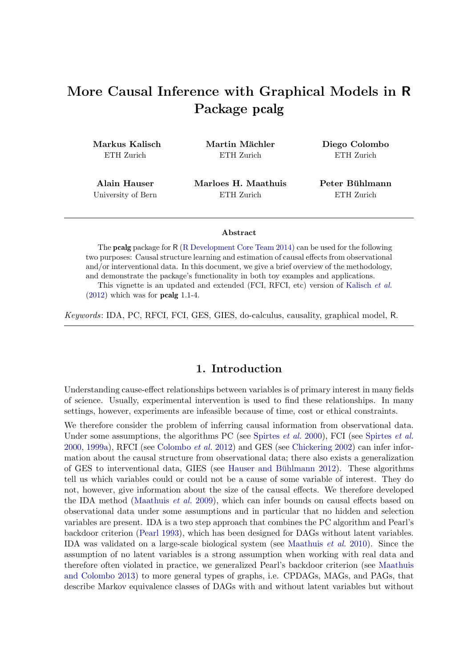# More Causal Inference with Graphical Models in R Package pcalg

Markus Kalisch ETH Zurich

Martin Mächler ETH Zurich

Diego Colombo ETH Zurich

Alain Hauser University of Bern Marloes H. Maathuis ETH Zurich

Peter Bühlmann ETH Zurich

#### Abstract

The pcalg package for R [\(R Development Core Team 2014\)](#page-36-0) can be used for the following two purposes: Causal structure learning and estimation of causal effects from observational and/or interventional data. In this document, we give a brief overview of the methodology, and demonstrate the package's functionality in both toy examples and applications.

This vignette is an updated and extended (FCI, RFCI, etc) version of [Kalisch](#page-35-0) *et al.*  $(2012)$  which was for **pcalg** 1.1-4.

*Keywords*: IDA, PC, RFCI, FCI, GES, GIES, do-calculus, causality, graphical model, R.

# 1. Introduction

<span id="page-0-0"></span>Understanding cause-effect relationships between variables is of primary interest in many fields of science. Usually, experimental intervention is used to find these relationships. In many settings, however, experiments are infeasible because of time, cost or ethical constraints.

We therefore consider the problem of inferring causal information from observational data. Under some assumptions, the algorithms PC (see [Spirtes](#page-36-1) *et al.* [2000\)](#page-36-1), FCI (see [Spirtes](#page-36-1) *et al.* [2000,](#page-36-1) [1999a\)](#page-36-2), RFCI (see [Colombo](#page-34-0) *et al.* [2012\)](#page-34-0) and GES (see [Chickering 2002\)](#page-33-0) can infer information about the causal structure from observational data; there also exists a generalization of GES to interventional data, GIES (see Hauser and Bühlmann 2012). These algorithms tell us which variables could or could not be a cause of some variable of interest. They do not, however, give information about the size of the causal effects. We therefore developed the IDA method [\(Maathuis](#page-35-1) *et al.* [2009\)](#page-35-1), which can infer bounds on causal effects based on observational data under some assumptions and in particular that no hidden and selection variables are present. IDA is a two step approach that combines the PC algorithm and Pearl's backdoor criterion [\(Pearl 1993\)](#page-35-2), which has been designed for DAGs without latent variables. IDA was validated on a large-scale biological system (see [Maathuis](#page-35-3) *et al.* [2010\)](#page-35-3). Since the assumption of no latent variables is a strong assumption when working with real data and therefore often violated in practice, we generalized Pearl's backdoor criterion (see [Maathuis](#page-35-4) [and Colombo 2013\)](#page-35-4) to more general types of graphs, i.e. CPDAGs, MAGs, and PAGs, that describe Markov equivalence classes of DAGs with and without latent variables but without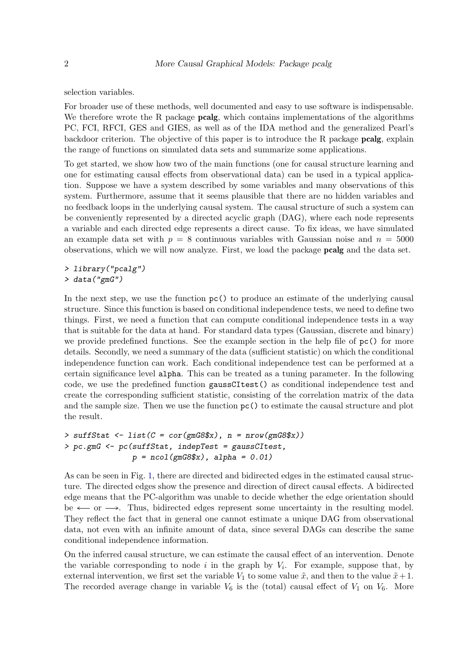selection variables.

For broader use of these methods, well documented and easy to use software is indispensable. We therefore wrote the R package **pcalg**, which contains implementations of the algorithms PC, FCI, RFCI, GES and GIES, as well as of the IDA method and the generalized Pearl's backdoor criterion. The objective of this paper is to introduce the R package pcalg, explain the range of functions on simulated data sets and summarize some applications.

To get started, we show how two of the main functions (one for causal structure learning and one for estimating causal effects from observational data) can be used in a typical application. Suppose we have a system described by some variables and many observations of this system. Furthermore, assume that it seems plausible that there are no hidden variables and no feedback loops in the underlying causal system. The causal structure of such a system can be conveniently represented by a directed acyclic graph (DAG), where each node represents a variable and each directed edge represents a direct cause. To fix ideas, we have simulated an example data set with  $p = 8$  continuous variables with Gaussian noise and  $n = 5000$ observations, which we will now analyze. First, we load the package pcalg and the data set.

*> library("pcalg") > data("gmG")*

In the next step, we use the function pc() to produce an estimate of the underlying causal structure. Since this function is based on conditional independence tests, we need to define two things. First, we need a function that can compute conditional independence tests in a way that is suitable for the data at hand. For standard data types (Gaussian, discrete and binary) we provide predefined functions. See the example section in the help file of pc() for more details. Secondly, we need a summary of the data (sufficient statistic) on which the conditional independence function can work. Each conditional independence test can be performed at a certain significance level alpha. This can be treated as a tuning parameter. In the following code, we use the predefined function gaussCItest() as conditional independence test and create the corresponding sufficient statistic, consisting of the correlation matrix of the data and the sample size. Then we use the function  $pc()$  to estimate the causal structure and plot the result.

```
> suffStat <- list(C = cor(gmG8$x), n = nrow(gmG8$x))
> pc.gmG <- pc(suffStat, indepTest = gaussCItest,
               p = ncol(gmG8$x), alpha = 0.01)
```
As can be seen in Fig. [1,](#page-2-0) there are directed and bidirected edges in the estimated causal structure. The directed edges show the presence and direction of direct causal effects. A bidirected edge means that the PC-algorithm was unable to decide whether the edge orientation should be  $\leftarrow$  or  $\rightarrow$ . Thus, bidirected edges represent some uncertainty in the resulting model. They reflect the fact that in general one cannot estimate a unique DAG from observational data, not even with an infinite amount of data, since several DAGs can describe the same conditional independence information.

On the inferred causal structure, we can estimate the causal effect of an intervention. Denote the variable corresponding to node  $i$  in the graph by  $V_i$ . For example, suppose that, by external intervention, we first set the variable  $V_1$  to some value  $\tilde{x}$ , and then to the value  $\tilde{x}+1$ . The recorded average change in variable  $V_6$  is the (total) causal effect of  $V_1$  on  $V_6$ . More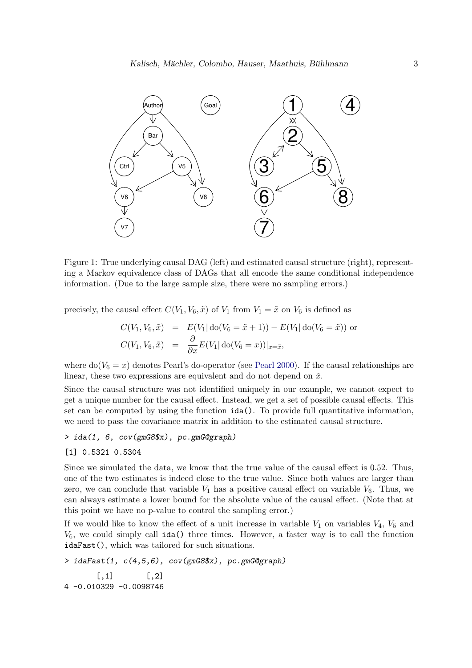

Figure 1: True underlying causal DAG (left) and estimated causal structure (right), representing a Markov equivalence class of DAGs that all encode the same conditional independence information. (Due to the large sample size, there were no sampling errors.)

precisely, the causal effect  $C(V_1, V_6, \tilde{x})$  of  $V_1$  from  $V_1 = \tilde{x}$  on  $V_6$  is defined as

<span id="page-2-0"></span>
$$
C(V_1, V_6, \tilde{x}) = E(V_1 | \text{do}(V_6 = \tilde{x} + 1)) - E(V_1 | \text{do}(V_6 = \tilde{x})) \text{ or } C(V_1, V_6, \tilde{x}) = \frac{\partial}{\partial x} E(V_1 | \text{do}(V_6 = x))|_{x = \tilde{x}},
$$

where  $do(V_6 = x)$  denotes Pearl's do-operator (see [Pearl 2000\)](#page-35-5). If the causal relationships are linear, these two expressions are equivalent and do not depend on  $\tilde{x}$ .

Since the causal structure was not identified uniquely in our example, we cannot expect to get a unique number for the causal effect. Instead, we get a set of possible causal effects. This set can be computed by using the function ida(). To provide full quantitative information, we need to pass the covariance matrix in addition to the estimated causal structure.

#### *> ida(1, 6, cov(gmG8\$x), pc.gmG@graph)*

#### [1] 0.5321 0.5304

Since we simulated the data, we know that the true value of the causal effect is 0.52. Thus, one of the two estimates is indeed close to the true value. Since both values are larger than zero, we can conclude that variable  $V_1$  has a positive causal effect on variable  $V_6$ . Thus, we can always estimate a lower bound for the absolute value of the causal effect. (Note that at this point we have no p-value to control the sampling error.)

If we would like to know the effect of a unit increase in variable  $V_1$  on variables  $V_4$ ,  $V_5$  and  $V_6$ , we could simply call ida() three times. However, a faster way is to call the function idaFast(), which was tailored for such situations.

```
> idaFast(1, c(4,5,6), cov(gmG8$x), pc.gmG@graph)
      [,1] [,2]4 -0.010329 -0.0098746
```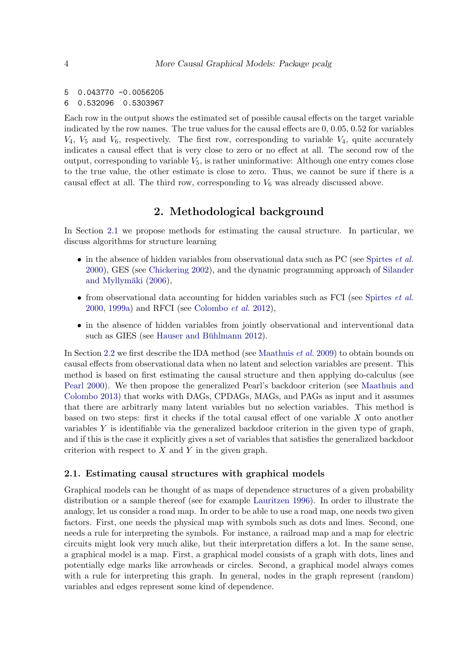```
5 0.043770 -0.0056205
6 0.532096 0.5303967
```
Each row in the output shows the estimated set of possible causal effects on the target variable indicated by the row names. The true values for the causal effects are 0, 0.05, 0.52 for variables  $V_4$ ,  $V_5$  and  $V_6$ , respectively. The first row, corresponding to variable  $V_4$ , quite accurately indicates a causal effect that is very close to zero or no effect at all. The second row of the output, corresponding to variable  $V_5$ , is rather uninformative: Although one entry comes close to the true value, the other estimate is close to zero. Thus, we cannot be sure if there is a causal effect at all. The third row, corresponding to  $V_6$  was already discussed above.

# 2. Methodological background

In Section [2.1](#page-3-0) we propose methods for estimating the causal structure. In particular, we discuss algorithms for structure learning

- in the absence of hidden variables from observational data such as PC (see [Spirtes](#page-36-1) *et al.* [2000\)](#page-36-1), GES (see [Chickering 2002\)](#page-33-0), and the dynamic programming approach of [Silander](#page-36-3) and Myllymäki  $(2006)$ ,
- from observational data accounting for hidden variables such as FCI (see [Spirtes](#page-36-1) *et al.* [2000,](#page-36-1) [1999a\)](#page-36-2) and RFCI (see [Colombo](#page-34-0) *et al.* [2012\)](#page-34-0),
- in the absence of hidden variables from jointly observational and interventional data such as GIES (see Hauser and Bühlmann 2012).

In Section [2.2](#page-9-0) we first describe the IDA method (see [Maathuis](#page-35-1) *et al.* [2009\)](#page-35-1) to obtain bounds on causal effects from observational data when no latent and selection variables are present. This method is based on first estimating the causal structure and then applying do-calculus (see [Pearl 2000\)](#page-35-5). We then propose the generalized Pearl's backdoor criterion (see [Maathuis and](#page-35-4) [Colombo 2013\)](#page-35-4) that works with DAGs, CPDAGs, MAGs, and PAGs as input and it assumes that there are arbitrarly many latent variables but no selection variables. This method is based on two steps: first it checks if the total causal effect of one variable X onto another variables Y is identifiable via the generalized backdoor criterion in the given type of graph, and if this is the case it explicitly gives a set of variables that satisfies the generalized backdoor criterion with respect to  $X$  and  $Y$  in the given graph.

#### <span id="page-3-0"></span>2.1. Estimating causal structures with graphical models

Graphical models can be thought of as maps of dependence structures of a given probability distribution or a sample thereof (see for example [Lauritzen 1996\)](#page-35-6). In order to illustrate the analogy, let us consider a road map. In order to be able to use a road map, one needs two given factors. First, one needs the physical map with symbols such as dots and lines. Second, one needs a rule for interpreting the symbols. For instance, a railroad map and a map for electric circuits might look very much alike, but their interpretation differs a lot. In the same sense, a graphical model is a map. First, a graphical model consists of a graph with dots, lines and potentially edge marks like arrowheads or circles. Second, a graphical model always comes with a rule for interpreting this graph. In general, nodes in the graph represent (random) variables and edges represent some kind of dependence.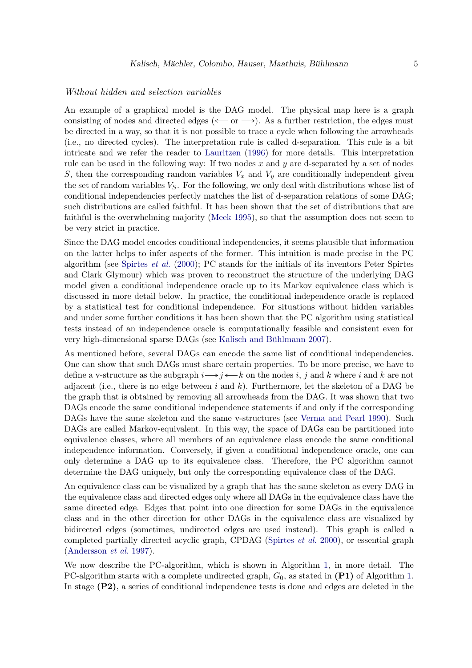#### Without hidden and selection variables

An example of a graphical model is the DAG model. The physical map here is a graph consisting of nodes and directed edges ( $\leftarrow$  or  $\rightarrow$ ). As a further restriction, the edges must be directed in a way, so that it is not possible to trace a cycle when following the arrowheads (i.e., no directed cycles). The interpretation rule is called d-separation. This rule is a bit intricate and we refer the reader to [Lauritzen](#page-35-6) [\(1996\)](#page-35-6) for more details. This interpretation rule can be used in the following way: If two nodes x and y are d-separated by a set of nodes S, then the corresponding random variables  $V_x$  and  $V_y$  are conditionally independent given the set of random variables  $V_S$ . For the following, we only deal with distributions whose list of conditional independencies perfectly matches the list of d-separation relations of some DAG; such distributions are called faithful. It has been shown that the set of distributions that are faithful is the overwhelming majority [\(Meek 1995\)](#page-35-7), so that the assumption does not seem to be very strict in practice.

Since the DAG model encodes conditional independencies, it seems plausible that information on the latter helps to infer aspects of the former. This intuition is made precise in the PC algorithm (see [Spirtes](#page-36-1) *et al.* [\(2000\)](#page-36-1); PC stands for the initials of its inventors Peter Spirtes and Clark Glymour) which was proven to reconstruct the structure of the underlying DAG model given a conditional independence oracle up to its Markov equivalence class which is discussed in more detail below. In practice, the conditional independence oracle is replaced by a statistical test for conditional independence. For situations without hidden variables and under some further conditions it has been shown that the PC algorithm using statistical tests instead of an independence oracle is computationally feasible and consistent even for very high-dimensional sparse DAGs (see Kalisch and Bühlmann 2007).

As mentioned before, several DAGs can encode the same list of conditional independencies. One can show that such DAGs must share certain properties. To be more precise, we have to define a v-structure as the subgraph  $i \rightarrow j \longleftarrow k$  on the nodes i, j and k where i and k are not adjacent (i.e., there is no edge between i and  $k$ ). Furthermore, let the skeleton of a DAG be the graph that is obtained by removing all arrowheads from the DAG. It was shown that two DAGs encode the same conditional independence statements if and only if the corresponding DAGs have the same skeleton and the same v-structures (see [Verma and Pearl 1990\)](#page-36-4). Such DAGs are called Markov-equivalent. In this way, the space of DAGs can be partitioned into equivalence classes, where all members of an equivalence class encode the same conditional independence information. Conversely, if given a conditional independence oracle, one can only determine a DAG up to its equivalence class. Therefore, the PC algorithm cannot determine the DAG uniquely, but only the corresponding equivalence class of the DAG.

An equivalence class can be visualized by a graph that has the same skeleton as every DAG in the equivalence class and directed edges only where all DAGs in the equivalence class have the same directed edge. Edges that point into one direction for some DAGs in the equivalence class and in the other direction for other DAGs in the equivalence class are visualized by bidirected edges (sometimes, undirected edges are used instead). This graph is called a completed partially directed acyclic graph, CPDAG [\(Spirtes](#page-36-1) *et al.* [2000\)](#page-36-1), or essential graph [\(Andersson](#page-33-1) *et al.* [1997\)](#page-33-1).

We now describe the PC-algorithm, which is shown in Algorithm [1,](#page-5-0) in more detail. The PC-algorithm starts with a complete undirected graph,  $G_0$ , as stated in  $(P1)$  of Algorithm [1.](#page-5-0) In stage (P2), a series of conditional independence tests is done and edges are deleted in the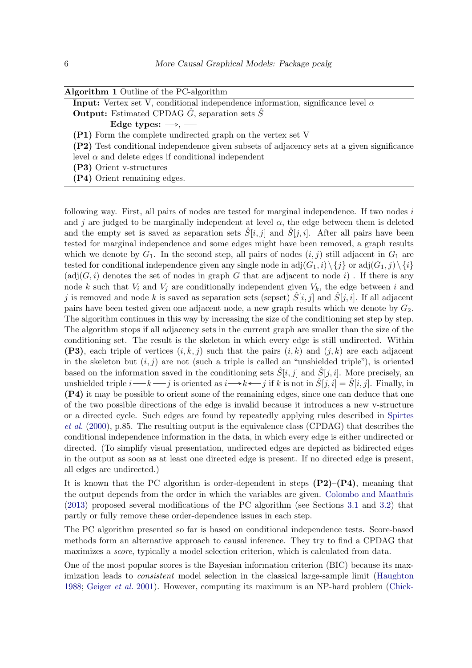| <b>Algorithm 1</b> Outline of the PC-algorithm |  |  |  |  |  |
|------------------------------------------------|--|--|--|--|--|
|------------------------------------------------|--|--|--|--|--|

**Input:** Vertex set V, conditional independence information, significance level  $\alpha$ **Output:** Estimated CPDAG  $\ddot{G}$ , separation sets  $\ddot{S}$ 

Edge types:  $\longrightarrow$ , -

(P1) Form the complete undirected graph on the vertex set V

- (P2) Test conditional independence given subsets of adjacency sets at a given significance
- level  $\alpha$  and delete edges if conditional independent

(P3) Orient v-structures

<span id="page-5-0"></span>(P4) Orient remaining edges.

following way. First, all pairs of nodes are tested for marginal independence. If two nodes i and j are judged to be marginally independent at level  $\alpha$ , the edge between them is deleted and the empty set is saved as separation sets  $S[i, i]$  and  $S[i, i]$ . After all pairs have been tested for marginal independence and some edges might have been removed, a graph results which we denote by  $G_1$ . In the second step, all pairs of nodes  $(i, j)$  still adjacent in  $G_1$  are tested for conditional independence given any single node in  $adj(G_1, i) \setminus \{j\}$  or  $adj(G_1, j) \setminus \{i\}$  $(\text{adj}(G, i))$  denotes the set of nodes in graph G that are adjacent to node i). If there is any node k such that  $V_i$  and  $V_j$  are conditionally independent given  $V_k$ , the edge between i and j is removed and node k is saved as separation sets (sepset)  $S[i, j]$  and  $S[j, i]$ . If all adjacent pairs have been tested given one adjacent node, a new graph results which we denote by  $G_2$ . The algorithm continues in this way by increasing the size of the conditioning set step by step. The algorithm stops if all adjacency sets in the current graph are smaller than the size of the conditioning set. The result is the skeleton in which every edge is still undirected. Within (P3), each triple of vertices  $(i, k, j)$  such that the pairs  $(i, k)$  and  $(j, k)$  are each adjacent in the skeleton but  $(i, j)$  are not (such a triple is called an "unshielded triple"), is oriented based on the information saved in the conditioning sets  $\hat{S}[i, j]$  and  $\hat{S}[j, i]$ . More precisely, an unshielded triple  $i \rightarrow k \rightarrow j$  is oriented as  $i \rightarrow k \rightarrow j$  if k is not in  $\hat{S}[j, i] = \hat{S}[i, j]$ . Finally, in (P4) it may be possible to orient some of the remaining edges, since one can deduce that one of the two possible directions of the edge is invalid because it introduces a new v-structure or a directed cycle. Such edges are found by repeatedly applying rules described in [Spirtes](#page-36-1) *[et al.](#page-36-1)* [\(2000\)](#page-36-1), p.85. The resulting output is the equivalence class (CPDAG) that describes the conditional independence information in the data, in which every edge is either undirected or directed. (To simplify visual presentation, undirected edges are depicted as bidirected edges in the output as soon as at least one directed edge is present. If no directed edge is present, all edges are undirected.)

It is known that the PC algorithm is order-dependent in steps  $(P2)$ – $(P4)$ , meaning that the output depends from the order in which the variables are given. [Colombo and Maathuis](#page-33-2) [\(2013\)](#page-33-2) proposed several modifications of the PC algorithm (see Sections [3.1](#page-11-0) and [3.2\)](#page-14-0) that partly or fully remove these order-dependence issues in each step.

The PC algorithm presented so far is based on conditional independence tests. Score-based methods form an alternative approach to causal inference. They try to find a CPDAG that maximizes a *score*, typically a model selection criterion, which is calculated from data.

One of the most popular scores is the Bayesian information criterion (BIC) because its maximization leads to *consistent* model selection in the classical large-sample limit [\(Haughton](#page-34-2) [1988;](#page-34-2) [Geiger](#page-34-3) *et al.* [2001\)](#page-34-3). However, computing its maximum is an NP-hard problem [\(Chick-](#page-33-3)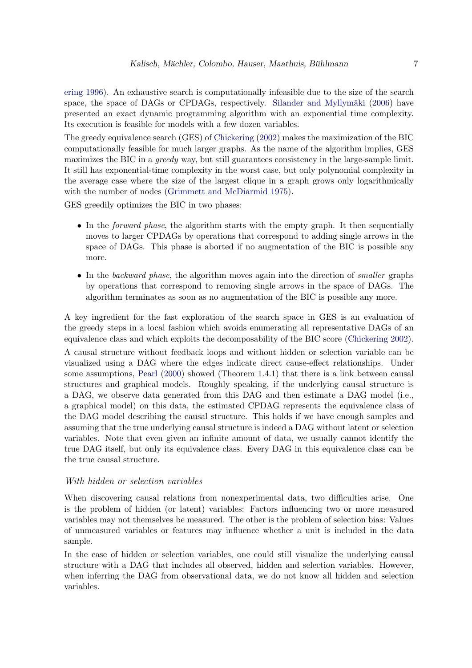[ering 1996\)](#page-33-3). An exhaustive search is computationally infeasible due to the size of the search space, the space of DAGs or CPDAGs, respectively. Silander and Myllymäki [\(2006\)](#page-36-3) have presented an exact dynamic programming algorithm with an exponential time complexity. Its execution is feasible for models with a few dozen variables.

The greedy equivalence search (GES) of [Chickering](#page-33-0) [\(2002\)](#page-33-0) makes the maximization of the BIC computationally feasible for much larger graphs. As the name of the algorithm implies, GES maximizes the BIC in a *greedy* way, but still guarantees consistency in the large-sample limit. It still has exponential-time complexity in the worst case, but only polynomial complexity in the average case where the size of the largest clique in a graph grows only logarithmically with the number of nodes [\(Grimmett and McDiarmid 1975\)](#page-34-4).

GES greedily optimizes the BIC in two phases:

- In the *forward phase*, the algorithm starts with the empty graph. It then sequentially moves to larger CPDAGs by operations that correspond to adding single arrows in the space of DAGs. This phase is aborted if no augmentation of the BIC is possible any more.
- In the *backward phase*, the algorithm moves again into the direction of *smaller* graphs by operations that correspond to removing single arrows in the space of DAGs. The algorithm terminates as soon as no augmentation of the BIC is possible any more.

A key ingredient for the fast exploration of the search space in GES is an evaluation of the greedy steps in a local fashion which avoids enumerating all representative DAGs of an equivalence class and which exploits the decomposability of the BIC score [\(Chickering 2002\)](#page-33-0).

A causal structure without feedback loops and without hidden or selection variable can be visualized using a DAG where the edges indicate direct cause-effect relationships. Under some assumptions, [Pearl](#page-35-5) [\(2000\)](#page-35-5) showed (Theorem 1.4.1) that there is a link between causal structures and graphical models. Roughly speaking, if the underlying causal structure is a DAG, we observe data generated from this DAG and then estimate a DAG model (i.e., a graphical model) on this data, the estimated CPDAG represents the equivalence class of the DAG model describing the causal structure. This holds if we have enough samples and assuming that the true underlying causal structure is indeed a DAG without latent or selection variables. Note that even given an infinite amount of data, we usually cannot identify the true DAG itself, but only its equivalence class. Every DAG in this equivalence class can be the true causal structure.

#### With hidden or selection variables

When discovering causal relations from nonexperimental data, two difficulties arise. One is the problem of hidden (or latent) variables: Factors influencing two or more measured variables may not themselves be measured. The other is the problem of selection bias: Values of unmeasured variables or features may influence whether a unit is included in the data sample.

In the case of hidden or selection variables, one could still visualize the underlying causal structure with a DAG that includes all observed, hidden and selection variables. However, when inferring the DAG from observational data, we do not know all hidden and selection variables.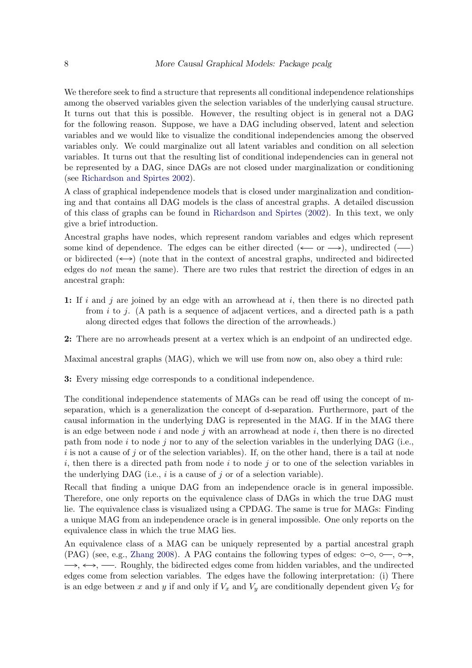We therefore seek to find a structure that represents all conditional independence relationships among the observed variables given the selection variables of the underlying causal structure. It turns out that this is possible. However, the resulting object is in general not a DAG for the following reason. Suppose, we have a DAG including observed, latent and selection variables and we would like to visualize the conditional independencies among the observed variables only. We could marginalize out all latent variables and condition on all selection variables. It turns out that the resulting list of conditional independencies can in general not be represented by a DAG, since DAGs are not closed under marginalization or conditioning (see [Richardson and Spirtes 2002\)](#page-36-5).

A class of graphical independence models that is closed under marginalization and conditioning and that contains all DAG models is the class of ancestral graphs. A detailed discussion of this class of graphs can be found in [Richardson and Spirtes](#page-36-5) [\(2002\)](#page-36-5). In this text, we only give a brief introduction.

Ancestral graphs have nodes, which represent random variables and edges which represent some kind of dependence. The edges can be either directed ( $\leftarrow$  or  $\rightarrow$ ), undirected ( $\rightarrow$ ) or bidirected  $(\leftrightarrow)$  (note that in the context of ancestral graphs, undirected and bidirected edges do *not* mean the same). There are two rules that restrict the direction of edges in an ancestral graph:

1: If i and j are joined by an edge with an arrowhead at i, then there is no directed path from  $i$  to j. (A path is a sequence of adjacent vertices, and a directed path is a path along directed edges that follows the direction of the arrowheads.)

2: There are no arrowheads present at a vertex which is an endpoint of an undirected edge.

Maximal ancestral graphs (MAG), which we will use from now on, also obey a third rule:

3: Every missing edge corresponds to a conditional independence.

The conditional independence statements of MAGs can be read off using the concept of mseparation, which is a generalization the concept of d-separation. Furthermore, part of the causal information in the underlying DAG is represented in the MAG. If in the MAG there is an edge between node i and node j with an arrowhead at node i, then there is no directed path from node i to node j nor to any of the selection variables in the underlying DAG (i.e., i is not a cause of j or of the selection variables). If, on the other hand, there is a tail at node i, then there is a directed path from node i to node j or to one of the selection variables in the underlying DAG (i.e.,  $i$  is a cause of  $j$  or of a selection variable).

Recall that finding a unique DAG from an independence oracle is in general impossible. Therefore, one only reports on the equivalence class of DAGs in which the true DAG must lie. The equivalence class is visualized using a CPDAG. The same is true for MAGs: Finding a unique MAG from an independence oracle is in general impossible. One only reports on the equivalence class in which the true MAG lies.

An equivalence class of a MAG can be uniquely represented by a partial ancestral graph (PAG) (see, e.g., [Zhang 2008\)](#page-36-6). A PAG contains the following types of edges:  $\circ \neg$ ,  $\circ \rightarrow$ ,  $\rightarrow$ ,  $\leftarrow$ ,  $\rightarrow$  Roughly, the bidirected edges come from hidden variables, and the undirected edges come from selection variables. The edges have the following interpretation: (i) There is an edge between x and y if and only if  $V_x$  and  $V_y$  are conditionally dependent given  $V_s$  for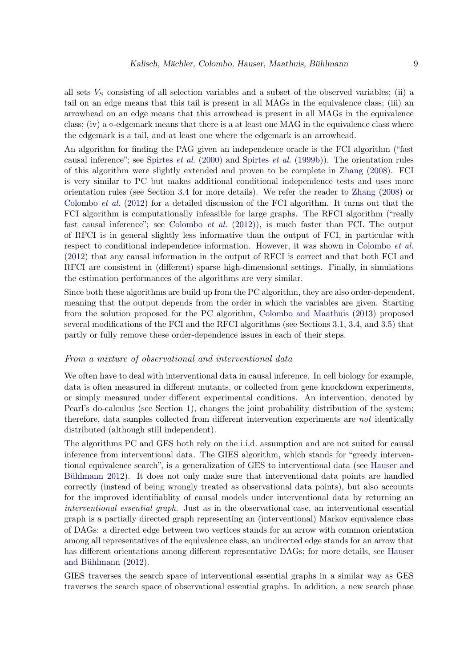all sets  $V<sub>S</sub>$  consisting of all selection variables and a subset of the observed variables; (ii) a tail on an edge means that this tail is present in all MAGs in the equivalence class; (iii) an arrowhead on an edge means that this arrowhead is present in all MAGs in the equivalence class; (iv) a  $\circ$ -edgemark means that there is a at least one MAG in the equivalence class where the edgemark is a tail, and at least one where the edgemark is an arrowhead.

An algorithm for finding the PAG given an independence oracle is the FCI algorithm ("fast causal inference"; see [Spirtes](#page-36-1) *et al.* [\(2000\)](#page-36-1) and [Spirtes](#page-36-7) *et al.* [\(1999b\)](#page-36-7)). The orientation rules of this algorithm were slightly extended and proven to be complete in [Zhang](#page-36-6) [\(2008\)](#page-36-6). FCI is very similar to PC but makes additional conditional independence tests and uses more orientation rules (see Section [3.4](#page-17-0) for more details). We refer the reader to [Zhang](#page-36-6) [\(2008\)](#page-36-6) or [Colombo](#page-34-0) *et al.* [\(2012\)](#page-34-0) for a detailed discussion of the FCI algorithm. It turns out that the FCI algorithm is computationally infeasible for large graphs. The RFCI algorithm ("really fast causal inference"; see [Colombo](#page-34-0) *et al.* [\(2012\)](#page-34-0)), is much faster than FCI. The output of RFCI is in general slightly less informative than the output of FCI, in particular with respect to conditional independence information. However, it was shown in [Colombo](#page-34-0) *et al.* [\(2012\)](#page-34-0) that any causal information in the output of RFCI is correct and that both FCI and RFCI are consistent in (different) sparse high-dimensional settings. Finally, in simulations the estimation performances of the algorithms are very similar.

Since both these algorithms are build up from the PC algorithm, they are also order-dependent, meaning that the output depends from the order in which the variables are given. Starting from the solution proposed for the PC algorithm, [Colombo and Maathuis](#page-33-2) [\(2013\)](#page-33-2) proposed several modifications of the FCI and the RFCI algorithms (see Sections [3.1,](#page-11-0) [3.4,](#page-17-0) and [3.5\)](#page-19-0) that partly or fully remove these order-dependence issues in each of their steps.

#### From a mixture of observational and interventional data

We often have to deal with interventional data in causal inference. In cell biology for example, data is often measured in different mutants, or collected from gene knockdown experiments, or simply measured under different experimental conditions. An intervention, denoted by Pearl's do-calculus (see Section [1\)](#page-0-0), changes the joint probability distribution of the system; therefore, data samples collected from different intervention experiments are *not* identically distributed (although still independent).

The algorithms PC and GES both rely on the i.i.d. assumption and are not suited for causal inference from interventional data. The GIES algorithm, which stands for "greedy interventional equivalence search", is a generalization of GES to interventional data (see [Hauser and](#page-34-1) Bühlmann 2012). It does not only make sure that interventional data points are handled correctly (instead of being wrongly treated as observational data points), but also accounts for the improved identifiablity of causal models under interventional data by returning an *interventional essential graph*. Just as in the observational case, an interventional essential graph is a partially directed graph representing an (interventional) Markov equivalence class of DAGs: a directed edge between two vertices stands for an arrow with common orientation among all representatives of the equivalence class, an undirected edge stands for an arrow that has different orientations among different representative DAGs; for more details, see [Hauser](#page-34-1) and Bühlmann  $(2012)$ .

GIES traverses the search space of interventional essential graphs in a similar way as GES traverses the search space of observational essential graphs. In addition, a new search phase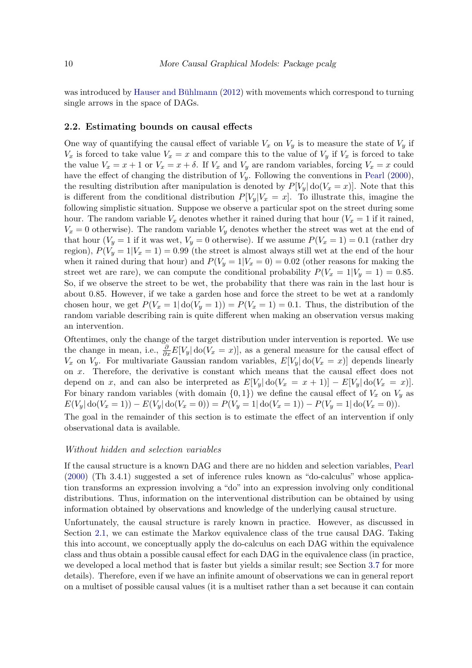was introduced by Hauser and Bühlmann  $(2012)$  with movements which correspond to turning single arrows in the space of DAGs.

#### <span id="page-9-0"></span>2.2. Estimating bounds on causal effects

One way of quantifying the causal effect of variable  $V_x$  on  $V_y$  is to measure the state of  $V_y$  if  $V_x$  is forced to take value  $V_x = x$  and compare this to the value of  $V_y$  if  $V_x$  is forced to take the value  $V_x = x + 1$  or  $V_x = x + \delta$ . If  $V_x$  and  $V_y$  are random variables, forcing  $V_x = x$  could have the effect of changing the distribution of  $V_y$ . Following the conventions in [Pearl](#page-35-5) [\(2000\)](#page-35-5), the resulting distribution after manipulation is denoted by  $P[V_y]$  do( $V_x = x$ ). Note that this is different from the conditional distribution  $P[V_y|V_x = x]$ . To illustrate this, imagine the following simplistic situation. Suppose we observe a particular spot on the street during some hour. The random variable  $V_x$  denotes whether it rained during that hour  $(V_x = 1$  if it rained,  $V_x = 0$  otherwise). The random variable  $V_y$  denotes whether the street was wet at the end of that hour  $(V_y = 1$  if it was wet,  $V_y = 0$  otherwise). If we assume  $P(V_x = 1) = 0.1$  (rather dry region),  $P(V_y = 1|V_x = 1) = 0.99$  (the street is almost always still wet at the end of the hour when it rained during that hour) and  $P(V_y = 1|V_x = 0) = 0.02$  (other reasons for making the street wet are rare), we can compute the conditional probability  $P(V_x = 1|V_y = 1) = 0.85$ . So, if we observe the street to be wet, the probability that there was rain in the last hour is about 0.85. However, if we take a garden hose and force the street to be wet at a randomly chosen hour, we get  $P(V_x = 1 | \text{do}(V_y = 1)) = P(V_x = 1) = 0.1$ . Thus, the distribution of the random variable describing rain is quite different when making an observation versus making an intervention.

Oftentimes, only the change of the target distribution under intervention is reported. We use the change in mean, i.e.,  $\frac{\partial}{\partial x} E[V_y] \, \text{do}(V_x = x)],$  as a general measure for the causal effect of  $V_x$  on  $V_y$ . For multivariate Gaussian random variables,  $E[V_y]$  do $(V_x = x)$  depends linearly on x. Therefore, the derivative is constant which means that the causal effect does not depend on x, and can also be interpreted as  $E[V_y] \cdot \text{do}(V_x = x + 1)] - E[V_y] \cdot \text{do}(V_x = x)].$ For binary random variables (with domain  $\{0, 1\}$ ) we define the causal effect of  $V_x$  on  $V_y$  as  $E(V_y | \text{do}(V_x = 1)) - E(V_y | \text{do}(V_x = 0)) = P(V_y = 1 | \text{do}(V_x = 1)) - P(V_y = 1 | \text{do}(V_x = 0)).$ 

The goal in the remainder of this section is to estimate the effect of an intervention if only observational data is available.

#### Without hidden and selection variables

If the causal structure is a known DAG and there are no hidden and selection variables, [Pearl](#page-35-5) [\(2000\)](#page-35-5) (Th 3.4.1) suggested a set of inference rules known as "do-calculus" whose application transforms an expression involving a "do" into an expression involving only conditional distributions. Thus, information on the interventional distribution can be obtained by using information obtained by observations and knowledge of the underlying causal structure.

Unfortunately, the causal structure is rarely known in practice. However, as discussed in Section [2.1,](#page-3-0) we can estimate the Markov equivalence class of the true causal DAG. Taking this into account, we conceptually apply the do-calculus on each DAG within the equivalence class and thus obtain a possible causal effect for each DAG in the equivalence class (in practice, we developed a local method that is faster but yields a similar result; see Section [3.7](#page-22-0) for more details). Therefore, even if we have an infinite amount of observations we can in general report on a multiset of possible causal values (it is a multiset rather than a set because it can contain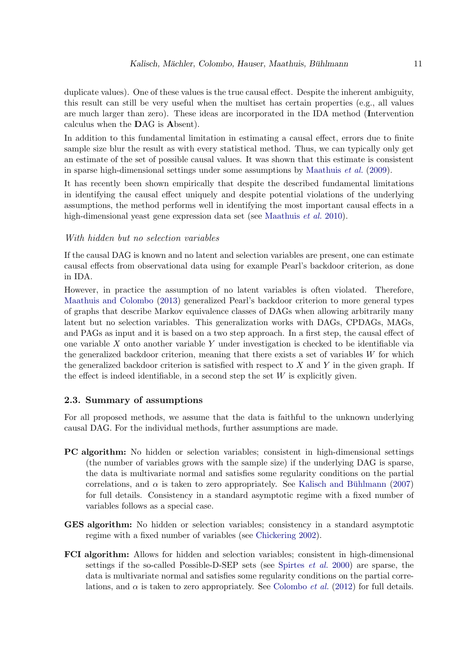duplicate values). One of these values is the true causal effect. Despite the inherent ambiguity, this result can still be very useful when the multiset has certain properties (e.g., all values are much larger than zero). These ideas are incorporated in the IDA method (Intervention calculus when the DAG is Absent).

In addition to this fundamental limitation in estimating a causal effect, errors due to finite sample size blur the result as with every statistical method. Thus, we can typically only get an estimate of the set of possible causal values. It was shown that this estimate is consistent in sparse high-dimensional settings under some assumptions by [Maathuis](#page-35-1) *et al.* [\(2009\)](#page-35-1).

It has recently been shown empirically that despite the described fundamental limitations in identifying the causal effect uniquely and despite potential violations of the underlying assumptions, the method performs well in identifying the most important causal effects in a high-dimensional yeast gene expression data set (see [Maathuis](#page-35-3) *et al.* [2010\)](#page-35-3).

#### With hidden but no selection variables

If the causal DAG is known and no latent and selection variables are present, one can estimate causal effects from observational data using for example Pearl's backdoor criterion, as done in IDA.

However, in practice the assumption of no latent variables is often violated. Therefore, [Maathuis and Colombo](#page-35-4) [\(2013\)](#page-35-4) generalized Pearl's backdoor criterion to more general types of graphs that describe Markov equivalence classes of DAGs when allowing arbitrarily many latent but no selection variables. This generalization works with DAGs, CPDAGs, MAGs, and PAGs as input and it is based on a two step approach. In a first step, the causal effect of one variable  $X$  onto another variable  $Y$  under investigation is checked to be identifiable via the generalized backdoor criterion, meaning that there exists a set of variables  $W$  for which the generalized backdoor criterion is satisfied with respect to  $X$  and  $Y$  in the given graph. If the effect is indeed identifiable, in a second step the set  $W$  is explicitly given.

#### 2.3. Summary of assumptions

For all proposed methods, we assume that the data is faithful to the unknown underlying causal DAG. For the individual methods, further assumptions are made.

- PC algorithm: No hidden or selection variables; consistent in high-dimensional settings (the number of variables grows with the sample size) if the underlying DAG is sparse, the data is multivariate normal and satisfies some regularity conditions on the partial correlations, and  $\alpha$  is taken to zero appropriately. See Kalisch and Bühlmann [\(2007\)](#page-35-8) for full details. Consistency in a standard asymptotic regime with a fixed number of variables follows as a special case.
- GES algorithm: No hidden or selection variables; consistency in a standard asymptotic regime with a fixed number of variables (see [Chickering 2002\)](#page-33-0).
- FCI algorithm: Allows for hidden and selection variables; consistent in high-dimensional settings if the so-called Possible-D-SEP sets (see [Spirtes](#page-36-1) *et al.* [2000\)](#page-36-1) are sparse, the data is multivariate normal and satisfies some regularity conditions on the partial correlations, and  $\alpha$  is taken to zero appropriately. See [Colombo](#page-34-0) *et al.* [\(2012\)](#page-34-0) for full details.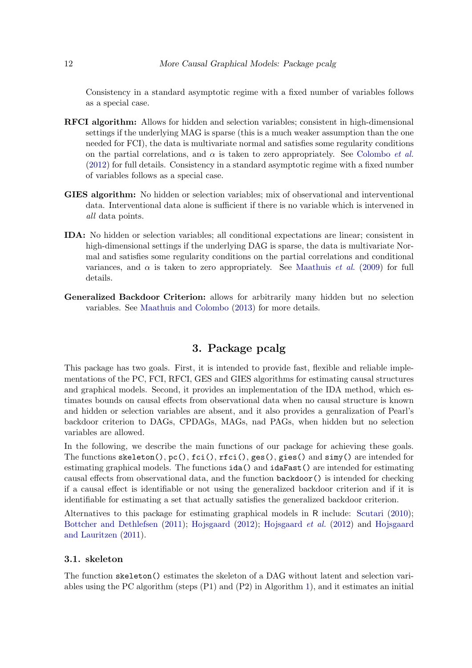Consistency in a standard asymptotic regime with a fixed number of variables follows as a special case.

- RFCI algorithm: Allows for hidden and selection variables; consistent in high-dimensional settings if the underlying MAG is sparse (this is a much weaker assumption than the one needed for FCI), the data is multivariate normal and satisfies some regularity conditions on the partial correlations, and  $\alpha$  is taken to zero appropriately. See [Colombo](#page-34-0) *et al.* [\(2012\)](#page-34-0) for full details. Consistency in a standard asymptotic regime with a fixed number of variables follows as a special case.
- GIES algorithm: No hidden or selection variables; mix of observational and interventional data. Interventional data alone is sufficient if there is no variable which is intervened in *all* data points.
- IDA: No hidden or selection variables; all conditional expectations are linear; consistent in high-dimensional settings if the underlying DAG is sparse, the data is multivariate Normal and satisfies some regularity conditions on the partial correlations and conditional variances, and  $\alpha$  is taken to zero appropriately. See [Maathuis](#page-35-1) *et al.* [\(2009\)](#page-35-1) for full details.
- Generalized Backdoor Criterion: allows for arbitrarily many hidden but no selection variables. See [Maathuis and Colombo](#page-35-4) [\(2013\)](#page-35-4) for more details.

# 3. Package pcalg

This package has two goals. First, it is intended to provide fast, flexible and reliable implementations of the PC, FCI, RFCI, GES and GIES algorithms for estimating causal structures and graphical models. Second, it provides an implementation of the IDA method, which estimates bounds on causal effects from observational data when no causal structure is known and hidden or selection variables are absent, and it also provides a genralization of Pearl's backdoor criterion to DAGs, CPDAGs, MAGs, nad PAGs, when hidden but no selection variables are allowed.

In the following, we describe the main functions of our package for achieving these goals. The functions  $s$ keleton(),  $pc($ ),  $fci()$ ,  $rfci()$ ,  $ges()$ ,  $gies()$  and  $simy()$  are intended for estimating graphical models. The functions ida() and idaFast() are intended for estimating causal effects from observational data, and the function backdoor() is intended for checking if a causal effect is identifiable or not using the generalized backdoor criterion and if it is identifiable for estimating a set that actually satisfies the generalized backdoor criterion.

Alternatives to this package for estimating graphical models in R include: [Scutari](#page-36-8) [\(2010\)](#page-36-8); [Bottcher and Dethlefsen](#page-33-4) [\(2011\)](#page-33-4); [Hojsgaard](#page-35-9) [\(2012\)](#page-35-9); [Hojsgaard](#page-35-10) *et al.* [\(2012\)](#page-35-10) and [Hojsgaard](#page-35-11) [and Lauritzen](#page-35-11) [\(2011\)](#page-35-11).

# <span id="page-11-0"></span>3.1. skeleton

The function skeleton() estimates the skeleton of a DAG without latent and selection variables using the PC algorithm (steps (P1) and (P2) in Algorithm [1\)](#page-5-0), and it estimates an initial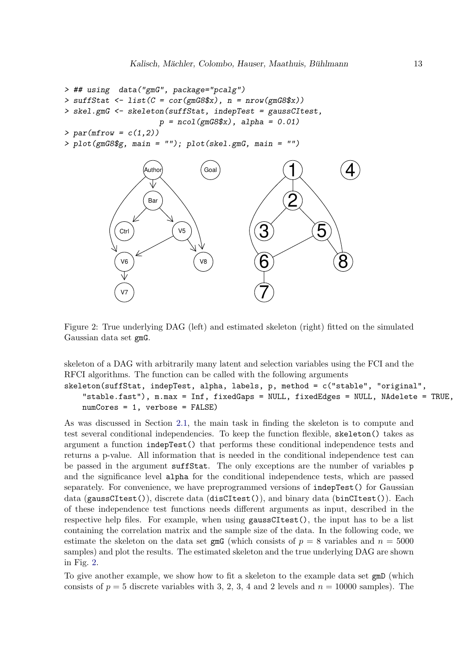```
> ## using data("gmG", package="pcalg")
> suffStat <- list(C = cor(gmG8$x), n = nrow(gmG8$x))
> skel.gmG <- skeleton(suffStat, indepTest = gaussCItest,
                     p = ncol(gmG8$x), alpha = 0.01)
> par(mfrow = c(1,2))
> plot(gmG8$g, main = ""); plot(skel.gmG, main = "")
```


<span id="page-12-0"></span>Figure 2: True underlying DAG (left) and estimated skeleton (right) fitted on the simulated Gaussian data set gmG.

skeleton of a DAG with arbitrarily many latent and selection variables using the FCI and the RFCI algorithms. The function can be called with the following arguments

```
skeleton(suffStat, indepTest, alpha, labels, p, method = c("stable", "original",
    "stable.fast"), m.max = Inf, fixedGaps = NULL, fixedEdges = NULL, NAdelete = TRUE,
   numCores = 1, verbose = FALSE)
```
As was discussed in Section [2.1,](#page-3-0) the main task in finding the skeleton is to compute and test several conditional independencies. To keep the function flexible, skeleton() takes as argument a function indepTest() that performs these conditional independence tests and returns a p-value. All information that is needed in the conditional independence test can be passed in the argument suffStat. The only exceptions are the number of variables p and the significance level alpha for the conditional independence tests, which are passed separately. For convenience, we have preprogrammed versions of indepTest() for Gaussian data (gaussCItest()), discrete data (disCItest()), and binary data (binCItest()). Each of these independence test functions needs different arguments as input, described in the respective help files. For example, when using gaussCItest(), the input has to be a list containing the correlation matrix and the sample size of the data. In the following code, we estimate the skeleton on the data set  $\text{gmG}$  (which consists of  $p = 8$  variables and  $n = 5000$ samples) and plot the results. The estimated skeleton and the true underlying DAG are shown in Fig. [2.](#page-12-0)

To give another example, we show how to fit a skeleton to the example data set gmD (which consists of  $p = 5$  discrete variables with 3, 2, 3, 4 and 2 levels and  $n = 10000$  samples). The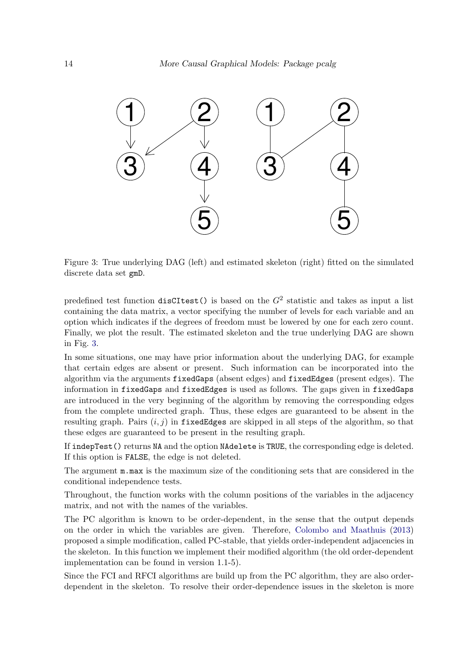<span id="page-13-0"></span>

Figure 3: True underlying DAG (left) and estimated skeleton (right) fitted on the simulated discrete data set gmD.

predefined test function  $disCTest()$  is based on the  $G^2$  statistic and takes as input a list containing the data matrix, a vector specifying the number of levels for each variable and an option which indicates if the degrees of freedom must be lowered by one for each zero count. Finally, we plot the result. The estimated skeleton and the true underlying DAG are shown in Fig. [3.](#page-13-0)

In some situations, one may have prior information about the underlying DAG, for example that certain edges are absent or present. Such information can be incorporated into the algorithm via the arguments fixedGaps (absent edges) and fixedEdges (present edges). The information in fixedGaps and fixedEdges is used as follows. The gaps given in fixedGaps are introduced in the very beginning of the algorithm by removing the corresponding edges from the complete undirected graph. Thus, these edges are guaranteed to be absent in the resulting graph. Pairs  $(i, j)$  in fixed Edges are skipped in all steps of the algorithm, so that these edges are guaranteed to be present in the resulting graph.

If indepTest() returns NA and the option NAdelete is TRUE, the corresponding edge is deleted. If this option is FALSE, the edge is not deleted.

The argument m.max is the maximum size of the conditioning sets that are considered in the conditional independence tests.

Throughout, the function works with the column positions of the variables in the adjacency matrix, and not with the names of the variables.

The PC algorithm is known to be order-dependent, in the sense that the output depends on the order in which the variables are given. Therefore, [Colombo and Maathuis](#page-33-2) [\(2013\)](#page-33-2) proposed a simple modification, called PC-stable, that yields order-independent adjacencies in the skeleton. In this function we implement their modified algorithm (the old order-dependent implementation can be found in version 1.1-5).

Since the FCI and RFCI algorithms are build up from the PC algorithm, they are also orderdependent in the skeleton. To resolve their order-dependence issues in the skeleton is more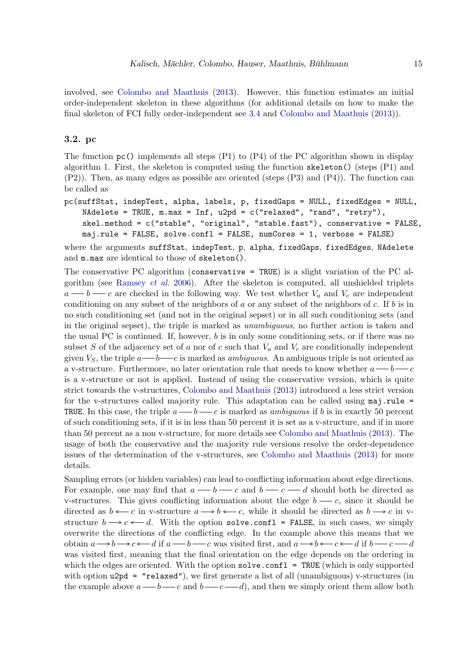involved, see [Colombo and Maathuis](#page-33-2) [\(2013\)](#page-33-2). However, this function estimates an initial order-independent skeleton in these algorithms (for additional details on how to make the final skeleton of FCI fully order-independent see [3.4](#page-17-0) and [Colombo and Maathuis](#page-33-2) [\(2013\)](#page-33-2)).

### <span id="page-14-0"></span>3.2. pc

The function  $pc()$  implements all steps (P1) to (P4) of the PC algorithm shown in display algorithm [1.](#page-5-0) First, the skeleton is computed using the function skeleton() (steps (P1) and (P2)). Then, as many edges as possible are oriented (steps (P3) and (P4)). The function can be called as

```
pc(suffStat, indepTest, alpha, labels, p, fixedGaps = NULL, fixedEdges = NULL,
   NAdelete = TRUE, m.max = Inf, u2pd = c("relaxed", "rand", "retry"),skel.method = c("stable", "original", "stable.fast"), conservative = FALSE,
   maj.rule = FALSE, solve.confl = FALSE, numCores = 1, verbose = FALSE)
```
where the arguments suffStat, indepTest, p, alpha, fixedGaps, fixedEdges, NAdelete and m.max are identical to those of skeleton().

The conservative PC algorithm (conservative = TRUE) is a slight variation of the PC algorithm (see [Ramsey](#page-36-9) *et al.* [2006\)](#page-36-9). After the skeleton is computed, all unshielded triplets  $a \rightarrow b \rightarrow c$  are checked in the following way. We test whether  $V_a$  and  $V_c$  are independent conditioning on any subset of the neighbors of a or any subset of the neighbors of c. If  $b$  is in no such conditioning set (and not in the original sepset) or in all such conditioning sets (and in the original sepset), the triple is marked as *unambiguous*, no further action is taken and the usual PC is continued. If, however,  $b$  is in only some conditioning sets, or if there was no subset S of the adjacency set of a nor of c such that  $V_a$  and  $V_c$  are conditionally independent given  $V_S$ , the triple  $a \rightarrow b \rightarrow c$  is marked as *ambiguous*. An ambiguous triple is not oriented as a v-structure. Furthermore, no later orientation rule that needs to know whether  $a \rightarrow b \rightarrow c$ is a v-structure or not is applied. Instead of using the conservative version, which is quite strict towards the v-structures, [Colombo and Maathuis](#page-33-2) [\(2013\)](#page-33-2) introduced a less strict version for the v-structures called majority rule. This adaptation can be called using maj.rule = TRUE. In this case, the triple  $a \rightarrow b \rightarrow c$  is marked as *ambiguous* if b is in exactly 50 percent of such conditioning sets, if it is in less than 50 percent it is set as a v-structure, and if in more than 50 percent as a non v-structure, for more details see [Colombo and Maathuis](#page-33-2) [\(2013\)](#page-33-2). The usage of both the conservative and the majority rule versions resolve the order-dependence issues of the determination of the v-structures, see [Colombo and Maathuis](#page-33-2) [\(2013\)](#page-33-2) for more details.

Sampling errors (or hidden variables) can lead to conflicting information about edge directions. For example, one may find that  $a \rightarrow b \rightarrow c$  and  $b \rightarrow c \rightarrow d$  should both be directed as v-structures. This gives conflicting information about the edge  $b \rightarrow c$ , since it should be directed as  $b \leftarrow c$  in v-structure  $a \rightarrow b \leftarrow c$ , while it should be directed as  $b \rightarrow c$  in vstructure  $b \rightarrow c \leftarrow d$ . With the option solve.confl = FALSE, in such cases, we simply overwrite the directions of the conflicting edge. In the example above this means that we obtain  $a \rightarrow b \rightarrow c \longleftarrow d$  if  $a \rightarrow b \rightarrow c$  was visited first, and  $a \rightarrow b \longleftarrow c \longleftarrow d$  if  $b \rightarrow c \rightarrow d$ was visited first, meaning that the final orientation on the edge depends on the ordering in which the edges are oriented. With the option  $\texttt{solve.config} = \texttt{TRUE}$  (which is only supported with option  $u2pd = "relaxed")$ , we first generate a list of all (unambiguous) v-structures (in the example above  $a \rightarrow b \rightarrow c$  and  $b \rightarrow c \rightarrow d$ , and then we simply orient them allow both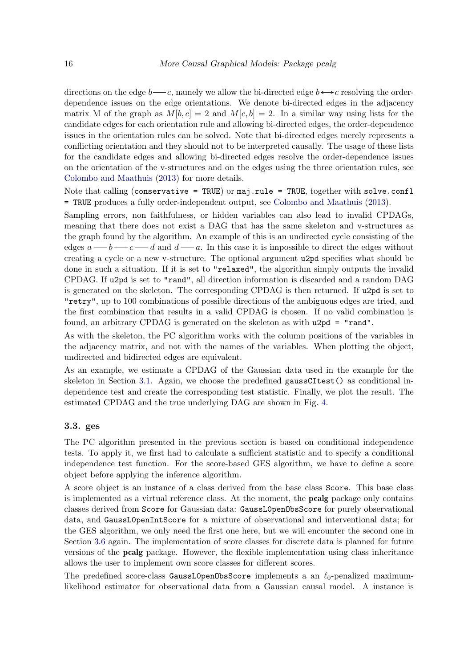directions on the edge  $b \rightarrow c$ , namely we allow the bi-directed edge  $b \leftrightarrow c$  resolving the orderdependence issues on the edge orientations. We denote bi-directed edges in the adjacency matrix M of the graph as  $M[b, c] = 2$  and  $M[c, b] = 2$ . In a similar way using lists for the candidate edges for each orientation rule and allowing bi-directed edges, the order-dependence issues in the orientation rules can be solved. Note that bi-directed edges merely represents a conflicting orientation and they should not to be interpreted causally. The usage of these lists for the candidate edges and allowing bi-directed edges resolve the order-dependence issues on the orientation of the v-structures and on the edges using the three orientation rules, see [Colombo and Maathuis](#page-33-2) [\(2013\)](#page-33-2) for more details.

Note that calling (conservative = TRUE) or  $\text{maj} \cdot \text{rule}$  = TRUE, together with solve.confl = TRUE produces a fully order-independent output, see [Colombo and Maathuis](#page-33-2) [\(2013\)](#page-33-2).

Sampling errors, non faithfulness, or hidden variables can also lead to invalid CPDAGs, meaning that there does not exist a DAG that has the same skeleton and v-structures as the graph found by the algorithm. An example of this is an undirected cycle consisting of the edges  $a \rightarrow b \rightarrow c \rightarrow d$  and  $d \rightarrow a$ . In this case it is impossible to direct the edges without creating a cycle or a new v-structure. The optional argument u2pd specifies what should be done in such a situation. If it is set to "relaxed", the algorithm simply outputs the invalid CPDAG. If u2pd is set to "rand", all direction information is discarded and a random DAG is generated on the skeleton. The corresponding CPDAG is then returned. If u2pd is set to "retry", up to 100 combinations of possible directions of the ambiguous edges are tried, and the first combination that results in a valid CPDAG is chosen. If no valid combination is found, an arbitrary CPDAG is generated on the skeleton as with u2pd = "rand".

As with the skeleton, the PC algorithm works with the column positions of the variables in the adjacency matrix, and not with the names of the variables. When plotting the object, undirected and bidirected edges are equivalent.

As an example, we estimate a CPDAG of the Gaussian data used in the example for the skeleton in Section [3.1.](#page-11-0) Again, we choose the predefined gaussCItest() as conditional independence test and create the corresponding test statistic. Finally, we plot the result. The estimated CPDAG and the true underlying DAG are shown in Fig. [4.](#page-16-0)

#### <span id="page-15-0"></span>3.3. ges

The PC algorithm presented in the previous section is based on conditional independence tests. To apply it, we first had to calculate a sufficient statistic and to specify a conditional independence test function. For the score-based GES algorithm, we have to define a score object before applying the inference algorithm.

A score object is an instance of a class derived from the base class Score. This base class is implemented as a virtual reference class. At the moment, the pcalg package only contains classes derived from Score for Gaussian data: GaussL0penObsScore for purely observational data, and GaussL0penIntScore for a mixture of observational and interventional data; for the GES algorithm, we only need the first one here, but we will encounter the second one in Section [3.6](#page-21-0) again. The implementation of score classes for discrete data is planned for future versions of the pcalg package. However, the flexible implementation using class inheritance allows the user to implement own score classes for different scores.

The predefined score-class GaussL0penObsScore implements a an  $\ell_0$ -penalized maximumlikelihood estimator for observational data from a Gaussian causal model. A instance is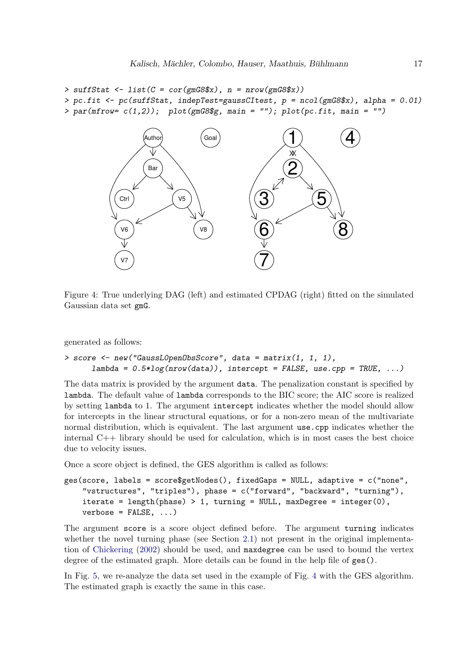```
> suffStat <- list(C = cor(gmG8$x), n = nrow(gmG8$x))
> pc.fit <- pc(suffStat, indepTest=gaussCItest, p = ncol(gmG8$x), alpha = 0.01)
> par(mfrow= c(1,2)); plot(gmG8$g, main = ""); plot(pc.fit, main = "")
```


<span id="page-16-0"></span>Figure 4: True underlying DAG (left) and estimated CPDAG (right) fitted on the simulated Gaussian data set gmG.

generated as follows:

```
> score <- new("GaussL0penObsScore", data = matrix(1, 1, 1),
     lambda = 0.5*log(nrow(data)), intercept = FALSE, use.cpp = TRUE, ...)
```
The data matrix is provided by the argument data. The penalization constant is specified by lambda. The default value of lambda corresponds to the BIC score; the AIC score is realized by setting lambda to 1. The argument intercept indicates whether the model should allow for intercepts in the linear structural equations, or for a non-zero mean of the multivariate normal distribution, which is equivalent. The last argument use.cpp indicates whether the internal C++ library should be used for calculation, which is in most cases the best choice due to velocity issues.

Once a score object is defined, the GES algorithm is called as follows:

```
ges(score, labels = score$getNodes(), fixedGaps = NULL, adaptive = c("none",
    "vstructures", "triples"), phase = c("forward", "backward", "turning"),
   iterate = length(phase) > 1, turning = NULL, maxDegree = integer(0),
   verbose = FALSE, ...)
```
The argument score is a score object defined before. The argument turning indicates whether the novel turning phase (see Section [2.1\)](#page-3-0) not present in the original implementation of [Chickering](#page-33-0) [\(2002\)](#page-33-0) should be used, and maxdegree can be used to bound the vertex degree of the estimated graph. More details can be found in the help file of ges().

In Fig. [5,](#page-17-1) we re-analyze the data set used in the example of Fig. [4](#page-16-0) with the GES algorithm. The estimated graph is exactly the same in this case.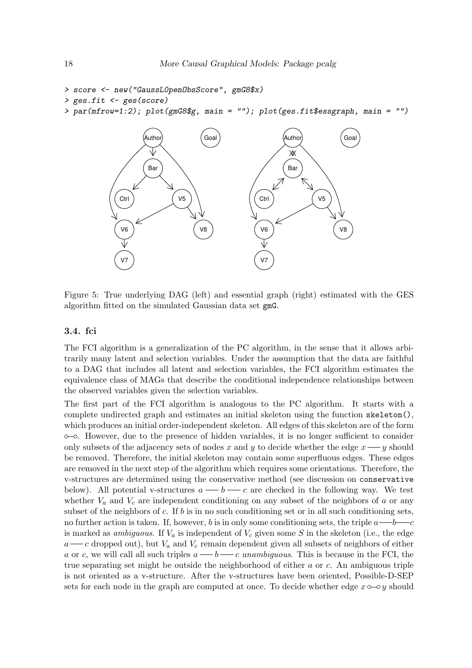```
> score <- new("GaussL0penObsScore", gmG8$x)
> ges.fit <- ges(score)
> par(mfrow=1:2); plot(gmG8$g, main = ""); plot(ges.fit$essgraph, main = "")
```
<span id="page-17-1"></span>

Figure 5: True underlying DAG (left) and essential graph (right) estimated with the GES algorithm fitted on the simulated Gaussian data set gmG.

#### <span id="page-17-0"></span>3.4. fci

The FCI algorithm is a generalization of the PC algorithm, in the sense that it allows arbitrarily many latent and selection variables. Under the assumption that the data are faithful to a DAG that includes all latent and selection variables, the FCI algorithm estimates the equivalence class of MAGs that describe the conditional independence relationships between the observed variables given the selection variables.

The first part of the FCI algorithm is analogous to the PC algorithm. It starts with a complete undirected graph and estimates an initial skeleton using the function skeleton(), which produces an initial order-independent skeleton. All edges of this skeleton are of the form . However, due to the presence of hidden variables, it is no longer sufficient to consider only subsets of the adjacency sets of nodes x and y to decide whether the edge  $x \rightarrow y$  should be removed. Therefore, the initial skeleton may contain some superfluous edges. These edges are removed in the next step of the algorithm which requires some orientations. Therefore, the v-structures are determined using the conservative method (see discussion on conservative below). All potential v-structures  $a \longrightarrow b \longrightarrow c$  are checked in the following way. We test whether  $V_a$  and  $V_c$  are independent conditioning on any subset of the neighbors of a or any subset of the neighbors of c. If b is in no such conditioning set or in all such conditioning sets, no further action is taken. If, however, b is in only some conditioning sets, the triple  $a \rightarrow b \rightarrow c$ is marked as *ambiguous*. If  $V_a$  is independent of  $V_c$  given some S in the skeleton (i.e., the edge  $a \rightarrow c$  dropped out), but  $V_a$  and  $V_c$  remain dependent given all subsets of neighbors of either a or c, we will call all such triples  $a \longrightarrow b \longrightarrow c$  *unambiguous*. This is because in the FCI, the true separating set might be outside the neighborhood of either a or c. An ambiguous triple is not oriented as a v-structure. After the v-structures have been oriented, Possible-D-SEP sets for each node in the graph are computed at once. To decide whether edge  $x \circ \sim y$  should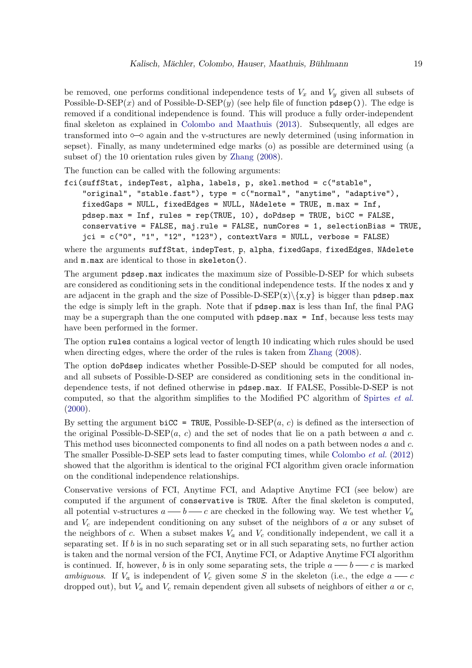be removed, one performs conditional independence tests of  $V_x$  and  $V_y$  given all subsets of Possible-D-SEP(x) and of Possible-D-SEP(y) (see help file of function  $pdsep()$ ). The edge is removed if a conditional independence is found. This will produce a fully order-independent final skeleton as explained in [Colombo and Maathuis](#page-33-2) [\(2013\)](#page-33-2). Subsequently, all edges are transformed into  $\circ$ - $\circ$  again and the v-structures are newly determined (using information in sepset). Finally, as many undetermined edge marks (o) as possible are determined using (a subset of) the 10 orientation rules given by [Zhang](#page-36-6) [\(2008\)](#page-36-6).

The function can be called with the following arguments:

```
fci(suffStat, indepTest, alpha, labels, p, skel.method = c("stable",
    "original", "stable.fast"), type = c("normal", "anytime", "adaptive"),
   fixedGaps = NULL, fixedEdges = NULL, NAdelete = TRUE, m.max = Inf,
   pdsep.max = Inf, rules = rep(TRUE, 10), doPdsep = TRUE, biCC = FALSE,
   conservative = FALSE, maj.rule = FALSE, numCores = 1, selectionBias = TRUE,
   jci = c("0", "1", "12", "123"), contextVars = NULL, verbose = FALSE)
```
where the arguments suffStat, indepTest, p, alpha, fixedGaps, fixedEdges, NAdelete and m.max are identical to those in skeleton().

The argument pdsep.max indicates the maximum size of Possible-D-SEP for which subsets are considered as conditioning sets in the conditional independence tests. If the nodes x and y are adjacent in the graph and the size of Possible-D-SEP $(x)\$  $\{x,y\}$  is bigger than pdsep.max the edge is simply left in the graph. Note that if pdsep.max is less than Inf, the final PAG may be a supergraph than the one computed with pdsep.max = Inf, because less tests may have been performed in the former.

The option rules contains a logical vector of length 10 indicating which rules should be used when directing edges, where the order of the rules is taken from [Zhang](#page-36-6) [\(2008\)](#page-36-6).

The option doPdsep indicates whether Possible-D-SEP should be computed for all nodes, and all subsets of Possible-D-SEP are considered as conditioning sets in the conditional independence tests, if not defined otherwise in pdsep.max. If FALSE, Possible-D-SEP is not computed, so that the algorithm simplifies to the Modified PC algorithm of [Spirtes](#page-36-1) *et al.*  $(2000).$  $(2000).$ 

By setting the argument biCC = TRUE, Possible-D-SEP $(a, c)$  is defined as the intersection of the original Possible-D-SEP(a, c) and the set of nodes that lie on a path between a and c. This method uses biconnected components to find all nodes on a path between nodes a and c. The smaller Possible-D-SEP sets lead to faster computing times, while [Colombo](#page-34-0) *et al.* [\(2012\)](#page-34-0) showed that the algorithm is identical to the original FCI algorithm given oracle information on the conditional independence relationships.

Conservative versions of FCI, Anytime FCI, and Adaptive Anytime FCI (see below) are computed if the argument of conservative is TRUE. After the final skeleton is computed, all potential v-structures  $a \longrightarrow b \longrightarrow c$  are checked in the following way. We test whether  $V_a$ and  $V_c$  are independent conditioning on any subset of the neighbors of a or any subset of the neighbors of c. When a subset makes  $V_a$  and  $V_c$  conditionally independent, we call it a separating set. If  $b$  is in no such separating set or in all such separating sets, no further action is taken and the normal version of the FCI, Anytime FCI, or Adaptive Anytime FCI algorithm is continued. If, however, b is in only some separating sets, the triple  $a \longrightarrow b \longrightarrow c$  is marked *ambiguous*. If  $V_a$  is independent of  $V_c$  given some S in the skeleton (i.e., the edge  $a \rightarrow c$ dropped out), but  $V_a$  and  $V_c$  remain dependent given all subsets of neighbors of either a or c,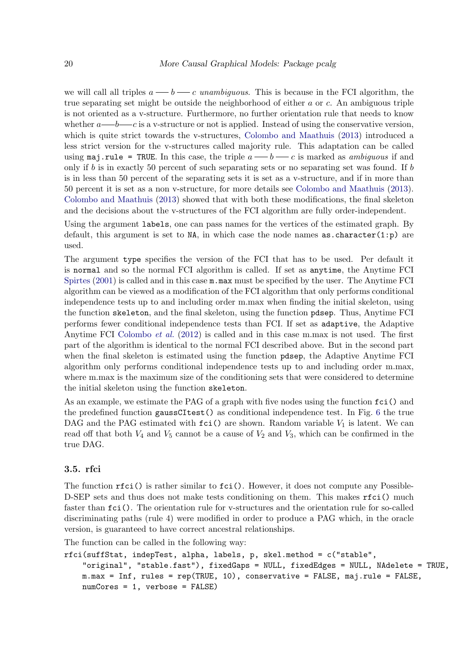we will call all triples  $a \longrightarrow b \longrightarrow c$  *unambiguous*. This is because in the FCI algorithm, the true separating set might be outside the neighborhood of either a or c. An ambiguous triple is not oriented as a v-structure. Furthermore, no further orientation rule that needs to know whether  $a \rightarrow b \rightarrow c$  is a v-structure or not is applied. Instead of using the conservative version, which is quite strict towards the v-structures, [Colombo and Maathuis](#page-33-2) [\(2013\)](#page-33-2) introduced a less strict version for the v-structures called majority rule. This adaptation can be called using maj.rule = TRUE. In this case, the triple  $a \rightarrow b \rightarrow c$  is marked as *ambiguous* if and only if  $b$  is in exactly 50 percent of such separating sets or no separating set was found. If  $b$ is in less than 50 percent of the separating sets it is set as a v-structure, and if in more than 50 percent it is set as a non v-structure, for more details see [Colombo and Maathuis](#page-33-2) [\(2013\)](#page-33-2). [Colombo and Maathuis](#page-33-2) [\(2013\)](#page-33-2) showed that with both these modifications, the final skeleton and the decisions about the v-structures of the FCI algorithm are fully order-independent.

Using the argument labels, one can pass names for the vertices of the estimated graph. By default, this argument is set to NA, in which case the node names as character $(1:p)$  are used.

The argument type specifies the version of the FCI that has to be used. Per default it is normal and so the normal FCI algorithm is called. If set as anytime, the Anytime FCI [Spirtes](#page-36-10)  $(2001)$  is called and in this case  $m \cdot max$  must be specified by the user. The Anytime FCI algorithm can be viewed as a modification of the FCI algorithm that only performs conditional independence tests up to and including order m.max when finding the initial skeleton, using the function skeleton, and the final skeleton, using the function pdsep. Thus, Anytime FCI performs fewer conditional independence tests than FCI. If set as adaptive, the Adaptive Anytime FCI [Colombo](#page-34-0) *et al.* [\(2012\)](#page-34-0) is called and in this case m.max is not used. The first part of the algorithm is identical to the normal FCI described above. But in the second part when the final skeleton is estimated using the function pdsep, the Adaptive Anytime FCI algorithm only performs conditional independence tests up to and including order m.max, where m.max is the maximum size of the conditioning sets that were considered to determine the initial skeleton using the function skeleton.

As an example, we estimate the PAG of a graph with five nodes using the function fci() and the predefined function gaussCItest() as conditional independence test. In Fig. [6](#page-20-0) the true DAG and the PAG estimated with  $fci()$  are shown. Random variable  $V_1$  is latent. We can read off that both  $V_4$  and  $V_5$  cannot be a cause of  $V_2$  and  $V_3$ , which can be confirmed in the true DAG.

#### <span id="page-19-0"></span>3.5. rfci

The function  $\texttt{rfci}()$  is rather similar to  $\texttt{fci}()$ . However, it does not compute any Possible-D-SEP sets and thus does not make tests conditioning on them. This makes rfci() much faster than  $fci()$ . The orientation rule for v-structures and the orientation rule for so-called discriminating paths (rule 4) were modified in order to produce a PAG which, in the oracle version, is guaranteed to have correct ancestral relationships.

The function can be called in the following way:

```
rfci(suffStat, indepTest, alpha, labels, p, skel.method = c("stable",
    "original", "stable.fast"), fixedGaps = NULL, fixedEdges = NULL, NAdelete = TRUE,
   m.max = Inf, rules = rep(TRUE, 10), conservative = FALSE, maj.rule = FALSE,
   numCores = 1, verbose = FALSE)
```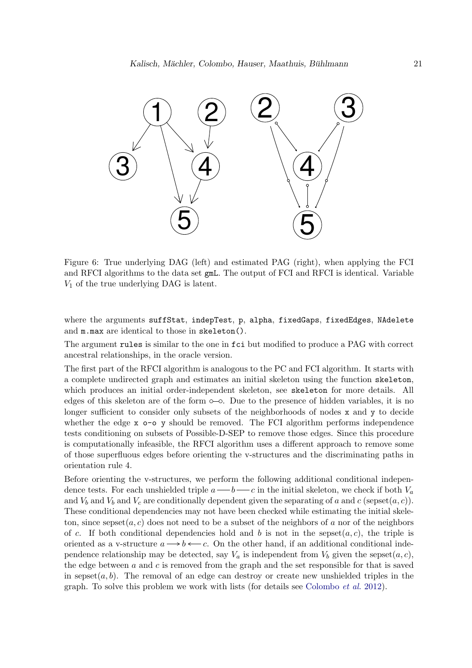

<span id="page-20-0"></span>Figure 6: True underlying DAG (left) and estimated PAG (right), when applying the FCI and RFCI algorithms to the data set gmL. The output of FCI and RFCI is identical. Variable  $V_1$  of the true underlying DAG is latent.

where the arguments suffStat, indepTest, p, alpha, fixedGaps, fixedEdges, NAdelete and m.max are identical to those in skeleton().

The argument rules is similar to the one in fci but modified to produce a PAG with correct ancestral relationships, in the oracle version.

The first part of the RFCI algorithm is analogous to the PC and FCI algorithm. It starts with a complete undirected graph and estimates an initial skeleton using the function skeleton, which produces an initial order-independent skeleton, see skeleton for more details. All edges of this skeleton are of the form  $\circ\sim$ . Due to the presence of hidden variables, it is no longer sufficient to consider only subsets of the neighborhoods of nodes x and y to decide whether the edge x  $\circ$ - $\circ$  y should be removed. The FCI algorithm performs independence tests conditioning on subsets of Possible-D-SEP to remove those edges. Since this procedure is computationally infeasible, the RFCI algorithm uses a different approach to remove some of those superfluous edges before orienting the v-structures and the discriminating paths in orientation rule 4.

Before orienting the v-structures, we perform the following additional conditional independence tests. For each unshielded triple  $a \rightarrow b \rightarrow c$  in the initial skeleton, we check if both  $V_a$ and  $V_b$  and  $V_c$  are conditionally dependent given the separating of a and c (sepset(a, c)). These conditional dependencies may not have been checked while estimating the initial skeleton, since sepset $(a, c)$  does not need to be a subset of the neighbors of a nor of the neighbors of c. If both conditional dependencies hold and b is not in the sepset( $a, c$ ), the triple is oriented as a v-structure  $a \rightarrow b \leftarrow c$ . On the other hand, if an additional conditional independence relationship may be detected, say  $V_a$  is independent from  $V_b$  given the sepset $(a, c)$ , the edge between  $a$  and  $c$  is removed from the graph and the set responsible for that is saved in sepset $(a, b)$ . The removal of an edge can destroy or create new unshielded triples in the graph. To solve this problem we work with lists (for details see [Colombo](#page-34-0) *et al.* [2012\)](#page-34-0).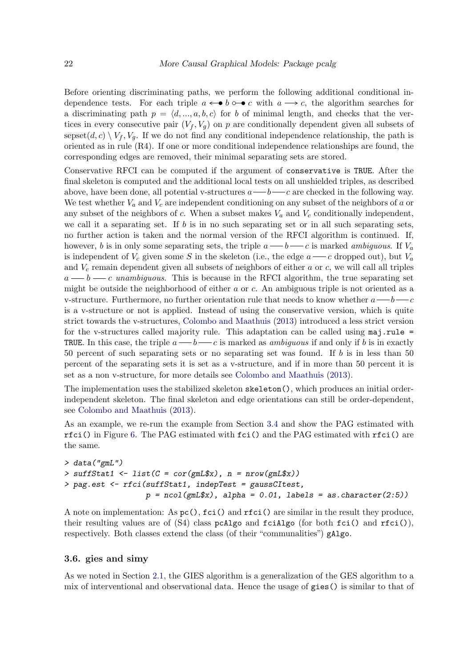Before orienting discriminating paths, we perform the following additional conditional independence tests. For each triple  $a \leftarrow b \circ \neg c$  with  $a \rightarrow c$ , the algorithm searches for a discriminating path  $p = \langle d, ..., a, b, c \rangle$  for b of minimal length, and checks that the vertices in every consecutive pair  $(V_f, V_g)$  on p are conditionally dependent given all subsets of sepset(d, c)  $\setminus V_f$ ,  $V_a$ . If we do not find any conditional independence relationship, the path is oriented as in rule (R4). If one or more conditional independence relationships are found, the corresponding edges are removed, their minimal separating sets are stored.

Conservative RFCI can be computed if the argument of conservative is TRUE. After the final skeleton is computed and the additional local tests on all unshielded triples, as described above, have been done, all potential v-structures  $a \rightarrow b \rightarrow c$  are checked in the following way. We test whether  $V_a$  and  $V_c$  are independent conditioning on any subset of the neighbors of a or any subset of the neighbors of c. When a subset makes  $V_a$  and  $V_c$  conditionally independent, we call it a separating set. If b is in no such separating set or in all such separating sets, no further action is taken and the normal version of the RFCI algorithm is continued. If, however, b is in only some separating sets, the triple  $a \rightarrow b \rightarrow c$  is marked *ambiguous*. If  $V_a$ is independent of  $V_c$  given some S in the skeleton (i.e., the edge  $a \rightarrow c$  dropped out), but  $V_a$ and  $V_c$  remain dependent given all subsets of neighbors of either a or c, we will call all triples  $a \rightarrow b \rightarrow c$  *unambiguous*. This is because in the RFCI algorithm, the true separating set might be outside the neighborhood of either a or c. An ambiguous triple is not oriented as a v-structure. Furthermore, no further orientation rule that needs to know whether  $a \rightarrow b \rightarrow c$ is a v-structure or not is applied. Instead of using the conservative version, which is quite strict towards the v-structures, [Colombo and Maathuis](#page-33-2) [\(2013\)](#page-33-2) introduced a less strict version for the v-structures called majority rule. This adaptation can be called using maj.rule = TRUE. In this case, the triple  $a \rightarrow b \rightarrow c$  is marked as *ambiguous* if and only if b is in exactly 50 percent of such separating sets or no separating set was found. If b is in less than 50 percent of the separating sets it is set as a v-structure, and if in more than 50 percent it is set as a non v-structure, for more details see [Colombo and Maathuis](#page-33-2) [\(2013\)](#page-33-2).

The implementation uses the stabilized skeleton skeleton(), which produces an initial orderindependent skeleton. The final skeleton and edge orientations can still be order-dependent, see [Colombo and Maathuis](#page-33-2) [\(2013\)](#page-33-2).

As an example, we re-run the example from Section [3.4](#page-17-0) and show the PAG estimated with rfci() in Figure [6.](#page-20-0) The PAG estimated with fci() and the PAG estimated with rfci() are the same.

```
> data("gmL")
> suffStat1 <- list(C = cor(gmL$x), n = nrow(gmL$x))
> pag.est <- rfci(suffStat1, indepTest = gaussCItest,
                  p = ncol(gmL$x), alpha = 0.01, labels = as.character(2:5))
```
A note on implementation: As  $pc()$ ,  $fci()$  and  $rfci()$  are similar in the result they produce, their resulting values are of  $(S4)$  class pcAlgo and fciAlgo (for both fci() and rfci()), respectively. Both classes extend the class (of their "communalities") gAlgo.

#### <span id="page-21-0"></span>3.6. gies and simy

As we noted in Section [2.1,](#page-3-0) the GIES algorithm is a generalization of the GES algorithm to a mix of interventional and observational data. Hence the usage of gies() is similar to that of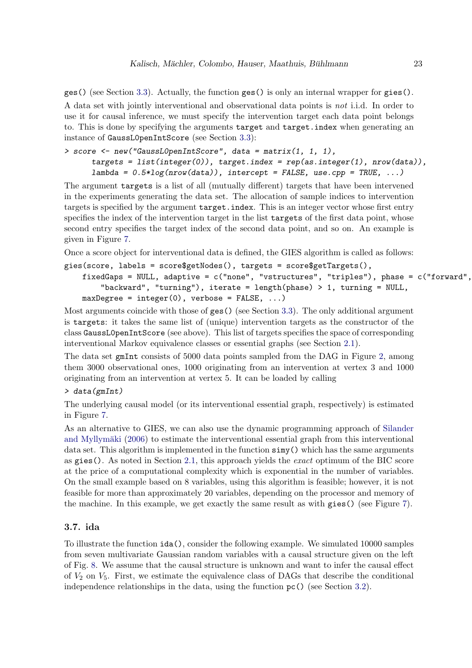ges() (see Section [3.3\)](#page-15-0). Actually, the function ges() is only an internal wrapper for gies(). A data set with jointly interventional and observational data points is *not* i.i.d. In order to use it for causal inference, we must specify the intervention target each data point belongs to. This is done by specifying the arguments target and target.index when generating an instance of GaussL0penIntScore (see Section [3.3\)](#page-15-0):

```
> score <- new("GaussL0penIntScore", data = matrix(1, 1, 1),
     targets = list(integer(0)), target.index = rep(as.integer(1), nrow(data)),
     lambda = 0.5*log(nrow(data)), intercept = FALSE, use.cpp = TRUE, ...)
```
The argument targets is a list of all (mutually different) targets that have been intervened in the experiments generating the data set. The allocation of sample indices to intervention targets is specified by the argument target.index. This is an integer vector whose first entry specifies the index of the intervention target in the list targets of the first data point, whose second entry specifies the target index of the second data point, and so on. An example is given in Figure [7.](#page-23-0)

Once a score object for interventional data is defined, the GIES algorithm is called as follows:

```
gies(score, labels = score$getNodes(), targets = score$getTargets(),
```

```
fixedGaps = NULL, adaptive = c("none", "vstructures", "triples"), phase = c("forward",
    "backward", "turning"), iterate = length(phase) > 1, turning = NULL,
maxDegree = integer(0), verbose = FALSE, ...)
```
Most arguments coincide with those of ges() (see Section [3.3\)](#page-15-0). The only additional argument is targets: it takes the same list of (unique) intervention targets as the constructor of the class GaussL0penIntScore (see above). This list of targets specifies the space of corresponding interventional Markov equivalence classes or essential graphs (see Section [2.1\)](#page-3-0).

The data set gmInt consists of 5000 data points sampled from the DAG in Figure [2,](#page-12-0) among them 3000 observational ones, 1000 originating from an intervention at vertex 3 and 1000 originating from an intervention at vertex 5. It can be loaded by calling

#### *> data(gmInt)*

The underlying causal model (or its interventional essential graph, respectively) is estimated in Figure [7.](#page-23-0)

As an alternative to GIES, we can also use the dynamic programming approach of [Silander](#page-36-3) and Myllymäki [\(2006\)](#page-36-3) to estimate the interventional essential graph from this interventional data set. This algorithm is implemented in the function  $\text{simy}$  () which has the same arguments as gies(). As noted in Section [2.1,](#page-3-0) this approach yields the *exact* optimum of the BIC score at the price of a computational complexity which is exponential in the number of variables. On the small example based on 8 variables, using this algorithm is feasible; however, it is not feasible for more than approximately 20 variables, depending on the processor and memory of the machine. In this example, we get exactly the same result as with gies() (see Figure [7\)](#page-23-0).

# <span id="page-22-0"></span>3.7. ida

To illustrate the function ida(), consider the following example. We simulated 10000 samples from seven multivariate Gaussian random variables with a causal structure given on the left of Fig. [8.](#page-24-0) We assume that the causal structure is unknown and want to infer the causal effect of  $V_2$  on  $V_5$ . First, we estimate the equivalence class of DAGs that describe the conditional independence relationships in the data, using the function  $pc()$  (see Section [3.2\)](#page-14-0).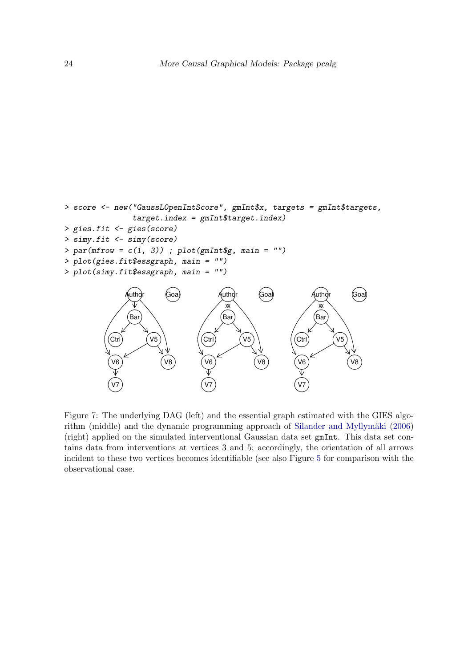```
> score <- new("GaussL0penIntScore", gmInt$x, targets = gmInt$targets,
                 target.index = gmInt$target.index)
> gies.fit <- gies(score)
> simy.fit <- simy(score)
> par(mfrow = c(1, 3)) ; plot(gmInt$g, main = "")
> plot(gies.fit$essgraph, main = "")
> plot(simy.fit$essgraph, main = "")
                                        Author
                                                  Goal
                                                                 uth
                                                                          Goal
                 uth
                          Goal
                                                                  YM
                (Bar
                                        (Bar
                                                                 Bar
           \left(Ctrl\right)V5
                                              V5
                                                            Ctrl
                                   Ctrl
                                                                      V5
            V6
                                    V6
                                                            V6
                          V8
                                                  V8
                                                                          V8
```
V7

Figure 7: The underlying DAG (left) and the essential graph estimated with the GIES algo-rithm (middle) and the dynamic programming approach of Silander and Myllymäki [\(2006\)](#page-36-3) (right) applied on the simulated interventional Gaussian data set gmInt. This data set contains data from interventions at vertices 3 and 5; accordingly, the orientation of all arrows incident to these two vertices becomes identifiable (see also Figure [5](#page-17-1) for comparison with the observational case.

<span id="page-23-0"></span>V7

V7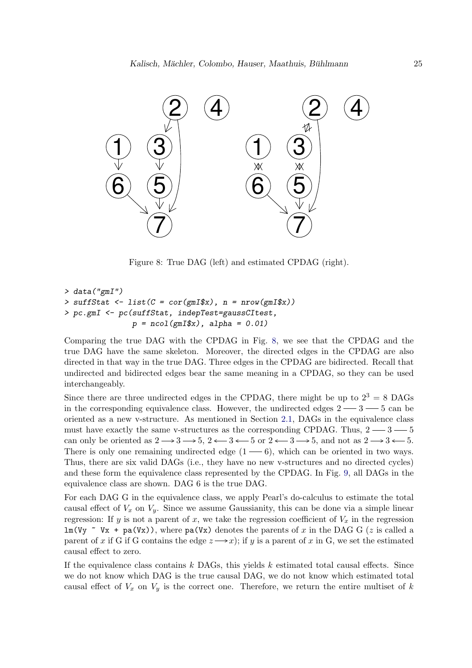

<span id="page-24-0"></span>Figure 8: True DAG (left) and estimated CPDAG (right).

```
> data("gmI")
> suffStat <- list(C = cor(gmI$x), n = nrow(gmI$x))
> pc.gmI <- pc(suffStat, indepTest=gaussCItest,
               p = ncol(gmI$x), alpha = 0.01)
```
Comparing the true DAG with the CPDAG in Fig. [8,](#page-24-0) we see that the CPDAG and the true DAG have the same skeleton. Moreover, the directed edges in the CPDAG are also directed in that way in the true DAG. Three edges in the CPDAG are bidirected. Recall that undirected and bidirected edges bear the same meaning in a CPDAG, so they can be used interchangeably.

Since there are three undirected edges in the CPDAG, there might be up to  $2^3 = 8$  DAGs in the corresponding equivalence class. However, the undirected edges  $2 \rightarrow 3 \rightarrow 5$  can be oriented as a new v-structure. As mentioned in Section [2.1,](#page-3-0) DAGs in the equivalence class must have exactly the same v-structures as the corresponding CPDAG. Thus,  $2 \rightarrow 3 \rightarrow 5$ can only be oriented as  $2 \longrightarrow 3 \longrightarrow 5$ ,  $2 \longleftarrow 3 \longleftarrow 5$  or  $2 \longleftarrow 3 \longrightarrow 5$ , and not as  $2 \longrightarrow 3 \longleftarrow 5$ . There is only one remaining undirected edge  $(1 - 6)$ , which can be oriented in two ways. Thus, there are six valid DAGs (i.e., they have no new v-structures and no directed cycles) and these form the equivalence class represented by the CPDAG. In Fig. [9,](#page-25-0) all DAGs in the equivalence class are shown. DAG 6 is the true DAG.

For each DAG G in the equivalence class, we apply Pearl's do-calculus to estimate the total causal effect of  $V_x$  on  $V_y$ . Since we assume Gaussianity, this can be done via a simple linear regression: If y is not a parent of x, we take the regression coefficient of  $V_x$  in the regression lm(Vy  $\sim$  Vx + pa(Vx)), where pa(Vx) denotes the parents of x in the DAG G (z is called a parent of x if G if G contains the edge  $z \rightarrow x$ ; if y is a parent of x in G, we set the estimated causal effect to zero.

If the equivalence class contains  $k$  DAGs, this yields  $k$  estimated total causal effects. Since we do not know which DAG is the true causal DAG, we do not know which estimated total causal effect of  $V_x$  on  $V_y$  is the correct one. Therefore, we return the entire multiset of k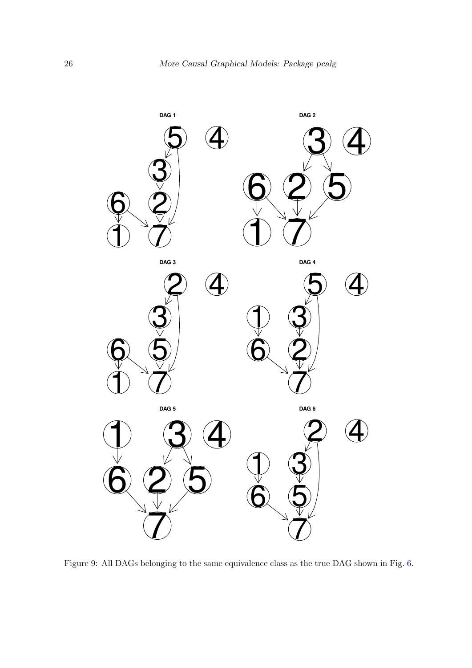

<span id="page-25-0"></span>Figure 9: All DAGs belonging to the same equivalence class as the true DAG shown in Fig. [6.](#page-20-0)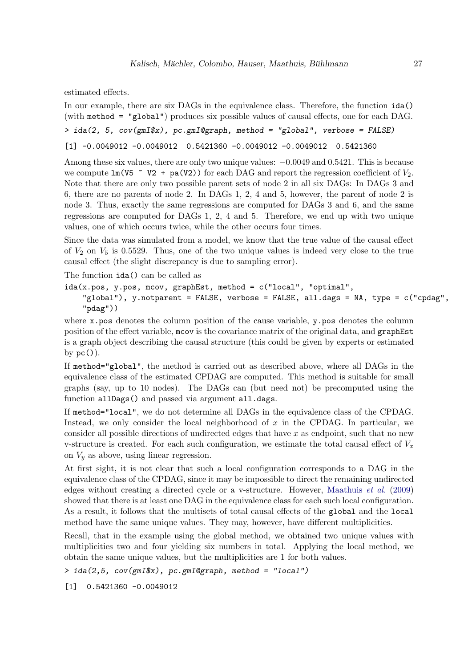estimated effects.

In our example, there are six DAGs in the equivalence class. Therefore, the function ida() (with method = "global") produces six possible values of causal effects, one for each DAG.

```
> ida(2, 5, cov(gmI$x), pc.gmI@graph, method = "global", verbose = FALSE)
```
[1] -0.0049012 -0.0049012 0.5421360 -0.0049012 -0.0049012 0.5421360

Among these six values, there are only two unique values: −0.0049 and 0.5421. This is because we compute  $lm(V5 \sim V2 + pa(V2))$  for each DAG and report the regression coefficient of  $V_2$ . Note that there are only two possible parent sets of node 2 in all six DAGs: In DAGs 3 and 6, there are no parents of node 2. In DAGs 1, 2, 4 and 5, however, the parent of node 2 is node 3. Thus, exactly the same regressions are computed for DAGs 3 and 6, and the same regressions are computed for DAGs 1, 2, 4 and 5. Therefore, we end up with two unique values, one of which occurs twice, while the other occurs four times.

Since the data was simulated from a model, we know that the true value of the causal effect of  $V_2$  on  $V_5$  is 0.5529. Thus, one of the two unique values is indeed very close to the true causal effect (the slight discrepancy is due to sampling error).

The function ida() can be called as

```
ida(x.pos, y.pos, mcov, graphEst, method = c("local", "optimal",
    "global"), y.notparent = FALSE, verbose = FALSE, all.dags = NA, type = c("cpdag",
    "pdag"))
```
where x.pos denotes the column position of the cause variable, y.pos denotes the column position of the effect variable, mcov is the covariance matrix of the original data, and graphEst is a graph object describing the causal structure (this could be given by experts or estimated by  $pc()$ ).

If method="global", the method is carried out as described above, where all DAGs in the equivalence class of the estimated CPDAG are computed. This method is suitable for small graphs (say, up to 10 nodes). The DAGs can (but need not) be precomputed using the function allDags() and passed via argument all.dags.

If method="local", we do not determine all DAGs in the equivalence class of the CPDAG. Instead, we only consider the local neighborhood of  $x$  in the CPDAG. In particular, we consider all possible directions of undirected edges that have  $x$  as endpoint, such that no new v-structure is created. For each such configuration, we estimate the total causal effect of  $V_x$ on  $V_y$  as above, using linear regression.

At first sight, it is not clear that such a local configuration corresponds to a DAG in the equivalence class of the CPDAG, since it may be impossible to direct the remaining undirected edges without creating a directed cycle or a v-structure. However, [Maathuis](#page-35-1) *et al.* [\(2009\)](#page-35-1) showed that there is at least one DAG in the equivalence class for each such local configuration. As a result, it follows that the multisets of total causal effects of the global and the local method have the same unique values. They may, however, have different multiplicities.

Recall, that in the example using the global method, we obtained two unique values with multiplicities two and four yielding six numbers in total. Applying the local method, we obtain the same unique values, but the multiplicities are 1 for both values.

*> ida(2,5, cov(gmI\$x), pc.gmI@graph, method = "local")*

[1] 0.5421360 -0.0049012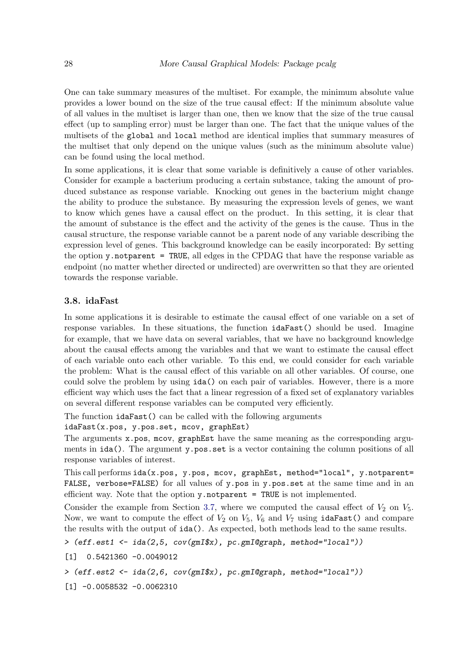One can take summary measures of the multiset. For example, the minimum absolute value provides a lower bound on the size of the true causal effect: If the minimum absolute value of all values in the multiset is larger than one, then we know that the size of the true causal effect (up to sampling error) must be larger than one. The fact that the unique values of the multisets of the global and local method are identical implies that summary measures of the multiset that only depend on the unique values (such as the minimum absolute value) can be found using the local method.

In some applications, it is clear that some variable is definitively a cause of other variables. Consider for example a bacterium producing a certain substance, taking the amount of produced substance as response variable. Knocking out genes in the bacterium might change the ability to produce the substance. By measuring the expression levels of genes, we want to know which genes have a causal effect on the product. In this setting, it is clear that the amount of substance is the effect and the activity of the genes is the cause. Thus in the causal structure, the response variable cannot be a parent node of any variable describing the expression level of genes. This background knowledge can be easily incorporated: By setting the option y.notparent = TRUE, all edges in the CPDAG that have the response variable as endpoint (no matter whether directed or undirected) are overwritten so that they are oriented towards the response variable.

# 3.8. idaFast

In some applications it is desirable to estimate the causal effect of one variable on a set of response variables. In these situations, the function idaFast() should be used. Imagine for example, that we have data on several variables, that we have no background knowledge about the causal effects among the variables and that we want to estimate the causal effect of each variable onto each other variable. To this end, we could consider for each variable the problem: What is the causal effect of this variable on all other variables. Of course, one could solve the problem by using ida() on each pair of variables. However, there is a more efficient way which uses the fact that a linear regression of a fixed set of explanatory variables on several different response variables can be computed very efficiently.

The function idaFast() can be called with the following arguments

idaFast(x.pos, y.pos.set, mcov, graphEst)

The arguments  $x.$  pos, mcov, graphEst have the same meaning as the corresponding arguments in ida(). The argument y.pos.set is a vector containing the column positions of all response variables of interest.

This call performs ida(x.pos, y.pos, mcov, graphEst, method="local", y.notparent= FALSE, verbose=FALSE) for all values of y.pos in y.pos.set at the same time and in an efficient way. Note that the option y.notparent = TRUE is not implemented.

Consider the example from Section [3.7,](#page-22-0) where we computed the causal effect of  $V_2$  on  $V_5$ . Now, we want to compute the effect of  $V_2$  on  $V_5$ ,  $V_6$  and  $V_7$  using idaFast() and compare the results with the output of ida(). As expected, both methods lead to the same results.

```
> (eff.est1 <- ida(2,5, cov(gmI$x), pc.gmI@graph, method="local"))
```

```
[1] 0.5421360 -0.0049012
```

```
> (eff.est2 <- ida(2,6, cov(gmI$x), pc.gmI@graph, method="local"))
```
 $[1] -0.0058532 -0.0062310$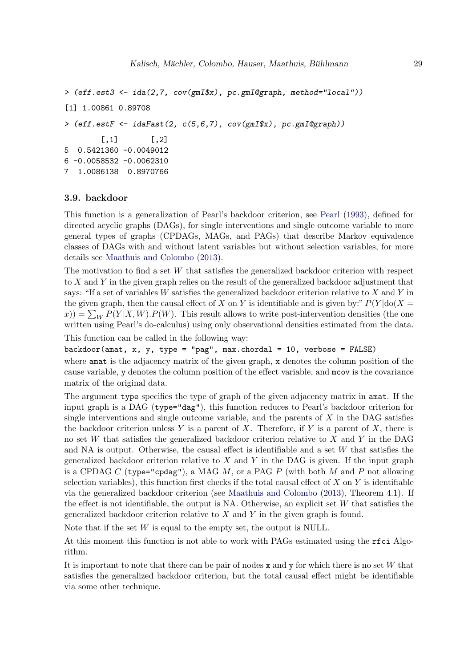```
> (eff.est3 <- ida(2,7, cov(gmI$x), pc.gmI@graph, method="local"))
[1] 1.00861 0.89708
> (eff.estF <- idaFast(2, c(5,6,7), cov(gmI$x), pc.gmI@graph))
        [0,1] [0,2]5 0.5421360 -0.0049012
6 -0.0058532 -0.0062310
7 1.0086138 0.8970766
```
# 3.9. backdoor

This function is a generalization of Pearl's backdoor criterion, see [Pearl](#page-35-2) [\(1993\)](#page-35-2), defined for directed acyclic graphs (DAGs), for single interventions and single outcome variable to more general types of graphs (CPDAGs, MAGs, and PAGs) that describe Markov equivalence classes of DAGs with and without latent variables but without selection variables, for more details see [Maathuis and Colombo](#page-35-4) [\(2013\)](#page-35-4).

The motivation to find a set W that satisfies the generalized backdoor criterion with respect to  $X$  and  $Y$  in the given graph relies on the result of the generalized backdoor adjustment that says: "If a set of variables W satisfies the generalized backdoor criterion relative to X and Y in the given graph, then the causal effect of X on Y is identifiable and is given by:"  $P(Y | \text{do}(X =$  $(x(x)) = \sum_W P(Y|X, W) \cdot P(W)$ . This result allows to write post-intervention densities (the one written using Pearl's do-calculus) using only observational densities estimated from the data.

This function can be called in the following way:

backdoor(amat, x, y, type = "pag", max.chordal = 10, verbose =  $FALSE$ ) where amat is the adjacency matrix of the given graph, x denotes the column position of the cause variable, y denotes the column position of the effect variable, and mcov is the covariance matrix of the original data.

The argument type specifies the type of graph of the given adjacency matrix in amat. If the input graph is a DAG (type="dag"), this function reduces to Pearl's backdoor criterion for single interventions and single outcome variable, and the parents of  $X$  in the DAG satisfies the backdoor criterion unless Y is a parent of X. Therefore, if Y is a parent of X, there is no set W that satisfies the generalized backdoor criterion relative to  $X$  and  $Y$  in the DAG and NA is output. Otherwise, the causal effect is identifiable and a set W that satisfies the generalized backdoor criterion relative to  $X$  and  $Y$  in the DAG is given. If the input graph is a CPDAG C (type="cpdag"), a MAG  $M$ , or a PAG  $P$  (with both  $M$  and  $P$  not allowing selection variables), this function first checks if the total causal effect of  $X$  on  $Y$  is identifiable via the generalized backdoor criterion (see [Maathuis and Colombo](#page-35-4) [\(2013\)](#page-35-4), Theorem 4.1). If the effect is not identifiable, the output is NA. Otherwise, an explicit set  $W$  that satisfies the generalized backdoor criterion relative to  $X$  and  $Y$  in the given graph is found.

Note that if the set  $W$  is equal to the empty set, the output is NULL.

At this moment this function is not able to work with PAGs estimated using the rfci Algorithm.

It is important to note that there can be pair of nodes  $x$  and  $y$  for which there is no set W that satisfies the generalized backdoor criterion, but the total causal effect might be identifiable via some other technique.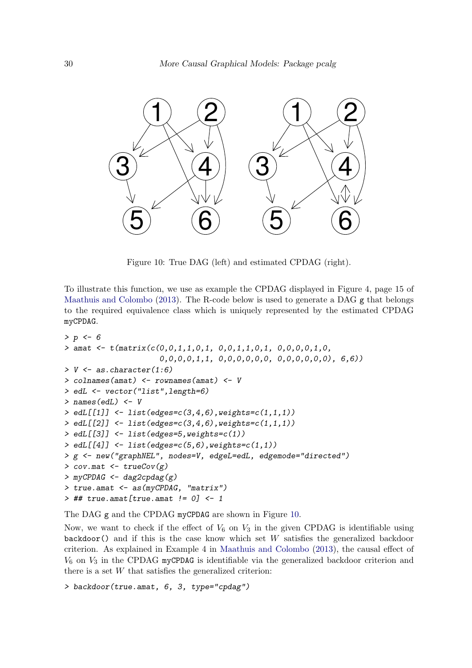

<span id="page-29-0"></span>Figure 10: True DAG (left) and estimated CPDAG (right).

To illustrate this function, we use as example the CPDAG displayed in Figure 4, page 15 of [Maathuis and Colombo](#page-35-4) [\(2013\)](#page-35-4). The R-code below is used to generate a DAG  $g$  that belongs to the required equivalence class which is uniquely represented by the estimated CPDAG myCPDAG.

```
> p <- 6
> amat <- t(matrix(c(0,0,1,1,0,1, 0,0,1,1,0,1, 0,0,0,0,1,0,
                     0,0,0,0,1,1, 0,0,0,0,0,0, 0,0,0,0,0,0), 6,6))
> V <- as.character(1:6)
> colnames(amat) <- rownames(amat) <- V
> edL <- vector("list",length=6)
> names(edL) <- V
> edL[[1]] <- list(edges=c(3,4,6),weights=c(1,1,1))
> edL[[2]] <- list(edges=c(3,4,6),weights=c(1,1,1))
> edL[[3]] <- list(edges=5,weights=c(1))
> edL[[4]] <- list(edges=c(5,6),weights=c(1,1))
> g <- new("graphNEL", nodes=V, edgeL=edL, edgemode="directed")
> cov.mat <- trueCov(g)
> myCPDAG <- dag2cpdag(g)
> true.amat <- as(myCPDAG, "matrix")
> ## true.amat[true.amat != 0] <- 1
```
The DAG g and the CPDAG myCPDAG are shown in Figure [10.](#page-29-0)

Now, we want to check if the effect of  $V_6$  on  $V_3$  in the given CPDAG is identifiable using  $backdoor()$  and if this is the case know which set W satisfies the generalized backdoor criterion. As explained in Example 4 in [Maathuis and Colombo](#page-35-4) [\(2013\)](#page-35-4), the causal effect of  $V_6$  on  $V_3$  in the CPDAG myCPDAG is identifiable via the generalized backdoor criterion and there is a set  $W$  that satisfies the generalized criterion:

```
> backdoor(true.amat, 6, 3, type="cpdag")
```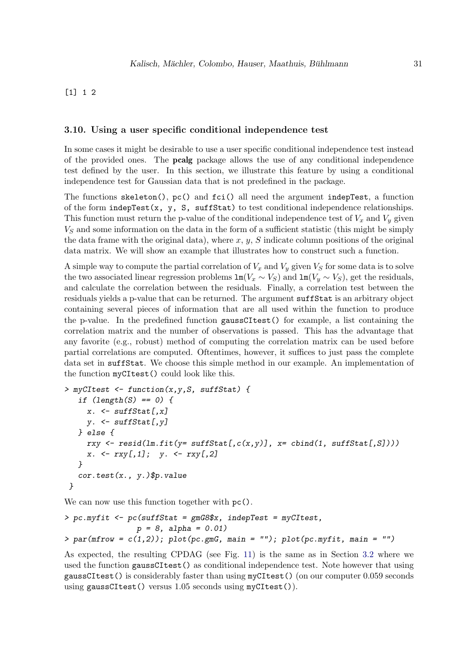# [1] 1 2

#### 3.10. Using a user specific conditional independence test

In some cases it might be desirable to use a user specific conditional independence test instead of the provided ones. The pcalg package allows the use of any conditional independence test defined by the user. In this section, we illustrate this feature by using a conditional independence test for Gaussian data that is not predefined in the package.

The functions  $\text{skeleton}()$ ,  $\text{pc}()$  and  $\text{fci}()$  all need the argument indepTest, a function of the form  $indegree(x, y, S, suffix)$  to test conditional independence relationships. This function must return the p-value of the conditional independence test of  $V_x$  and  $V_y$  given  $V<sub>S</sub>$  and some information on the data in the form of a sufficient statistic (this might be simply the data frame with the original data), where  $x, y, S$  indicate column positions of the original data matrix. We will show an example that illustrates how to construct such a function.

A simple way to compute the partial correlation of  $V_x$  and  $V_y$  given  $V_s$  for some data is to solve the two associated linear regression problems  $\text{Im}(V_x \sim V_S)$  and  $\text{Im}(V_y \sim V_S)$ , get the residuals, and calculate the correlation between the residuals. Finally, a correlation test between the residuals yields a p-value that can be returned. The argument suffStat is an arbitrary object containing several pieces of information that are all used within the function to produce the p-value. In the predefined function gaussCItest() for example, a list containing the correlation matrix and the number of observations is passed. This has the advantage that any favorite (e.g., robust) method of computing the correlation matrix can be used before partial correlations are computed. Oftentimes, however, it suffices to just pass the complete data set in suffStat. We choose this simple method in our example. An implementation of the function myCItest() could look like this.

```
> myCItest <- function(x,y,S, suffStat) {
  if (length(S) == 0) {
    x. <- suffStat[,x]
    y. <- suffStat[,y]
  } else {
    rxy <- resid(lm.fit(y= suffStat[,c(x,y)], x= cbind(1, suffStat[,S])))
    x. <- rxy[,1]; y. <- rxy[,2]
  }
   cor.test(x., y.)$p.value
 }
```
We can now use this function together with  $pc()$ .

```
> pc.myfit <- pc(suffStat = gmG8$x, indepTest = myCItest,
                p = 8, alpha = 0.01)
> par(mfrow = c(1,2)); plot(pc.gmG, main = ""); plot(pc.myfit, main = "")
```
As expected, the resulting CPDAG (see Fig. [11\)](#page-31-0) is the same as in Section [3.2](#page-14-0) where we used the function gaussCItest() as conditional independence test. Note however that using gaussCItest() is considerably faster than using myCItest() (on our computer 0.059 seconds using gaussCItest() versus 1.05 seconds using myCItest()).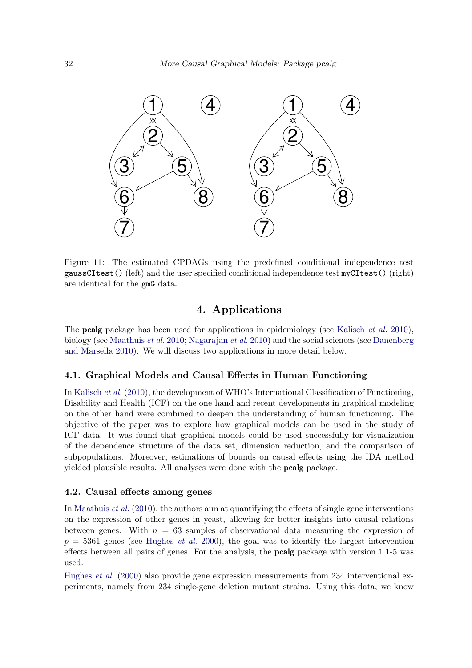

Figure 11: The estimated CPDAGs using the predefined conditional independence test gaussCItest() (left) and the user specified conditional independence test myCItest() (right) are identical for the gmG data.

# <span id="page-31-0"></span>4. Applications

The pcalg package has been used for applications in epidemiology (see [Kalisch](#page-35-12) *et al.* [2010\)](#page-35-12), biology (see [Maathuis](#page-35-3) *et al.* [2010;](#page-35-3) [Nagarajan](#page-35-13) *et al.* [2010\)](#page-35-13) and the social sciences (see [Danenberg](#page-34-5) [and Marsella 2010\)](#page-34-5). We will discuss two applications in more detail below.

#### 4.1. Graphical Models and Causal Effects in Human Functioning

In [Kalisch](#page-35-12) *et al.* [\(2010\)](#page-35-12), the development of WHO's International Classification of Functioning, Disability and Health (ICF) on the one hand and recent developments in graphical modeling on the other hand were combined to deepen the understanding of human functioning. The objective of the paper was to explore how graphical models can be used in the study of ICF data. It was found that graphical models could be used successfully for visualization of the dependence structure of the data set, dimension reduction, and the comparison of subpopulations. Moreover, estimations of bounds on causal effects using the IDA method yielded plausible results. All analyses were done with the pcalg package.

#### 4.2. Causal effects among genes

In [Maathuis](#page-35-3) *et al.* [\(2010\)](#page-35-3), the authors aim at quantifying the effects of single gene interventions on the expression of other genes in yeast, allowing for better insights into causal relations between genes. With  $n = 63$  samples of observational data measuring the expression of  $p = 5361$  genes (see [Hughes](#page-35-14) *et al.* [2000\)](#page-35-14), the goal was to identify the largest intervention effects between all pairs of genes. For the analysis, the **pcalg** package with version 1.1-5 was used.

[Hughes](#page-35-14) *et al.* [\(2000\)](#page-35-14) also provide gene expression measurements from 234 interventional experiments, namely from 234 single-gene deletion mutant strains. Using this data, we know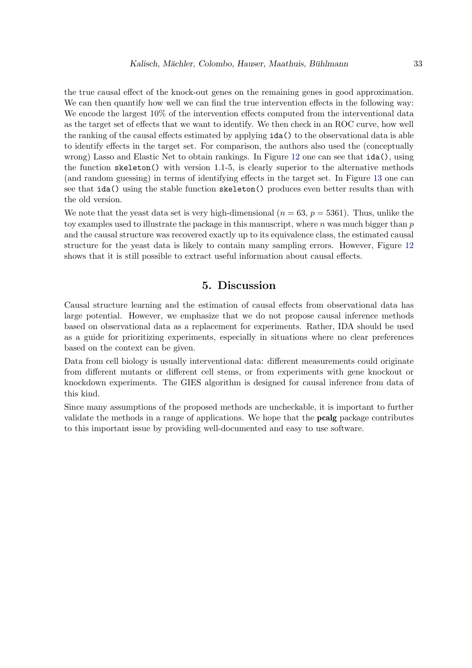the true causal effect of the knock-out genes on the remaining genes in good approximation. We can then quantify how well we can find the true intervention effects in the following way: We encode the largest  $10\%$  of the intervention effects computed from the interventional data as the target set of effects that we want to identify. We then check in an ROC curve, how well the ranking of the causal effects estimated by applying ida() to the observational data is able to identify effects in the target set. For comparison, the authors also used the (conceptually wrong) Lasso and Elastic Net to obtain rankings. In Figure [12](#page-33-5) one can see that ida(), using the function skeleton() with version 1.1-5, is clearly superior to the alternative methods (and random guessing) in terms of identifying effects in the target set. In Figure [13](#page-34-6) one can see that ida() using the stable function skeleton() produces even better results than with the old version.

We note that the yeast data set is very high-dimensional  $(n = 63, p = 5361)$ . Thus, unlike the toy examples used to illustrate the package in this manuscript, where  $n$  was much bigger than  $p$ and the causal structure was recovered exactly up to its equivalence class, the estimated causal structure for the yeast data is likely to contain many sampling errors. However, Figure [12](#page-33-5) shows that it is still possible to extract useful information about causal effects.

# 5. Discussion

Causal structure learning and the estimation of causal effects from observational data has large potential. However, we emphasize that we do not propose causal inference methods based on observational data as a replacement for experiments. Rather, IDA should be used as a guide for prioritizing experiments, especially in situations where no clear preferences based on the context can be given.

Data from cell biology is usually interventional data: different measurements could originate from different mutants or different cell stems, or from experiments with gene knockout or knockdown experiments. The GIES algorithm is designed for causal inference from data of this kind.

Since many assumptions of the proposed methods are uncheckable, it is important to further validate the methods in a range of applications. We hope that the pcalg package contributes to this important issue by providing well-documented and easy to use software.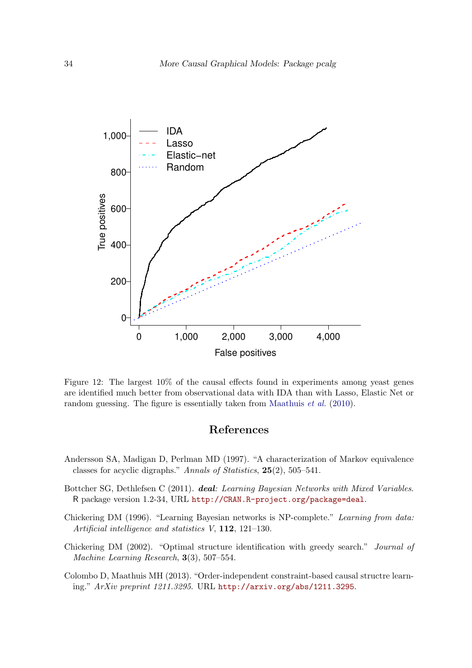

Figure 12: The largest 10% of the causal effects found in experiments among yeast genes are identified much better from observational data with IDA than with Lasso, Elastic Net or random guessing. The figure is essentially taken from [Maathuis](#page-35-3) *et al.* [\(2010\)](#page-35-3).

# <span id="page-33-5"></span>References

- <span id="page-33-1"></span>Andersson SA, Madigan D, Perlman MD (1997). "A characterization of Markov equivalence classes for acyclic digraphs." *Annals of Statistics*, 25(2), 505–541.
- <span id="page-33-4"></span>Bottcher SG, Dethlefsen C (2011). deal*: Learning Bayesian Networks with Mixed Variables*. R package version 1.2-34, URL <http://CRAN.R-project.org/package=deal>.
- <span id="page-33-3"></span>Chickering DM (1996). "Learning Bayesian networks is NP-complete." *Learning from data: Artificial intelligence and statistics V*, 112, 121–130.
- <span id="page-33-0"></span>Chickering DM (2002). "Optimal structure identification with greedy search." *Journal of Machine Learning Research*, 3(3), 507–554.
- <span id="page-33-2"></span>Colombo D, Maathuis MH (2013). "Order-independent constraint-based causal structre learning." *ArXiv preprint 1211.3295*. URL <http://arxiv.org/abs/1211.3295>.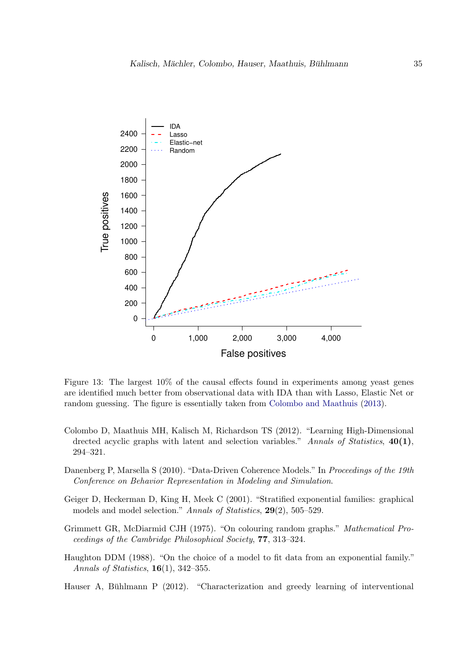

<span id="page-34-6"></span>Figure 13: The largest 10% of the causal effects found in experiments among yeast genes are identified much better from observational data with IDA than with Lasso, Elastic Net or random guessing. The figure is essentially taken from [Colombo and Maathuis](#page-33-2) [\(2013\)](#page-33-2).

- <span id="page-34-0"></span>Colombo D, Maathuis MH, Kalisch M, Richardson TS (2012). "Learning High-Dimensional drected acyclic graphs with latent and selection variables." *Annals of Statistics*, 40(1), 294–321.
- <span id="page-34-5"></span>Danenberg P, Marsella S (2010). "Data-Driven Coherence Models." In *Proceedings of the 19th Conference on Behavior Representation in Modeling and Simulation*.
- <span id="page-34-3"></span>Geiger D, Heckerman D, King H, Meek C (2001). "Stratified exponential families: graphical models and model selection." *Annals of Statistics*, 29(2), 505–529.
- <span id="page-34-4"></span>Grimmett GR, McDiarmid CJH (1975). "On colouring random graphs." *Mathematical Proceedings of the Cambridge Philosophical Society*, 77, 313–324.
- <span id="page-34-2"></span>Haughton DDM (1988). "On the choice of a model to fit data from an exponential family." *Annals of Statistics*, 16(1), 342–355.
- <span id="page-34-1"></span>Hauser A, Bühlmann P  $(2012)$ . "Characterization and greedy learning of interventional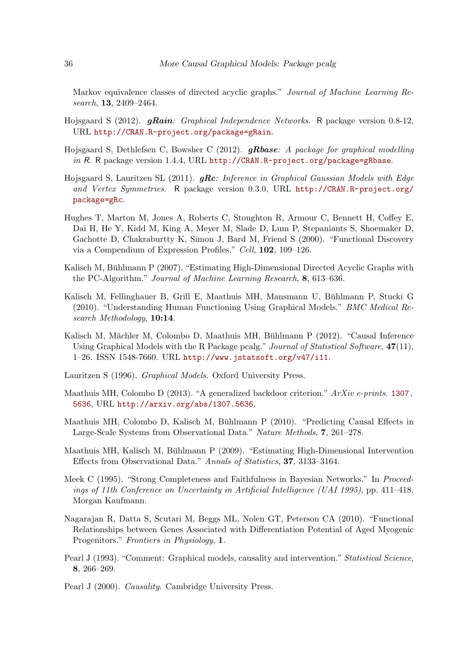Markov equivalence classes of directed acyclic graphs." *Journal of Machine Learning Research*, 13, 2409–2464.

- <span id="page-35-9"></span>Hojsgaard S (2012). gRain*: Graphical Independence Networks*. R package version 0.8-12, URL <http://CRAN.R-project.org/package=gRain>.
- <span id="page-35-10"></span>Hojsgaard S, Dethlefsen C, Bowsher C (2012). gRbase*: A package for graphical modelling in* R. R package version 1.4.4, URL <http://CRAN.R-project.org/package=gRbase>.
- <span id="page-35-11"></span>Hojsgaard S, Lauritzen SL (2011). gRc*: Inference in Graphical Gaussian Models with Edge and Vertex Symmetries*. R package version 0.3.0, URL [http://CRAN.R-project.org/](http://CRAN.R-project.org/package=gRc) [package=gRc](http://CRAN.R-project.org/package=gRc).
- <span id="page-35-14"></span>Hughes T, Marton M, Jones A, Roberts C, Stoughton R, Armour C, Bennett H, Coffey E, Dai H, He Y, Kidd M, King A, Meyer M, Slade D, Lum P, Stepaniants S, Shoemaker D, Gachotte D, Chakraburtty K, Simon J, Bard M, Friend S (2000). "Functional Discovery via a Compendium of Expression Profiles." *Cell*, 102, 109–126.
- <span id="page-35-8"></span>Kalisch M, Bühlmann P  $(2007)$ . "Estimating High-Dimensional Directed Acyclic Graphs with the PC-Algorithm." *Journal of Machine Learning Research*, 8, 613–636.
- <span id="page-35-12"></span>Kalisch M, Fellinghauer B, Grill E, Maathuis MH, Mansmann U, Buhlmann P, Stucki G ¨ (2010). "Understanding Human Functioning Using Graphical Models." *BMC Medical Research Methodology*, 10:14.
- <span id="page-35-0"></span>Kalisch M, Mächler M, Colombo D, Maathuis MH, Bühlmann P (2012). "Causal Inference Using Graphical Models with the R Package pcalg." *Journal of Statistical Software*, 47(11), 1–26. ISSN 1548-7660. URL <http://www.jstatsoft.org/v47/i11>.
- <span id="page-35-6"></span>Lauritzen S (1996). *Graphical Models*. Oxford University Press.
- <span id="page-35-4"></span>Maathuis MH, Colombo D (2013). "A generalized backdoor criterion." *ArXiv e-prints*. [1307.](1307.5636) [5636](1307.5636), URL <http://arxiv.org/abs/1307.5636>.
- <span id="page-35-3"></span>Maathuis MH, Colombo D, Kalisch M, Bühlmann P  $(2010)$ . "Predicting Causal Effects in Large-Scale Systems from Observational Data." *Nature Methods*, 7, 261–278.
- <span id="page-35-1"></span>Maathuis MH, Kalisch M, Bühlmann P (2009). "Estimating High-Dimensional Intervention Effects from Observational Data." *Annals of Statistics*, 37, 3133–3164.
- <span id="page-35-7"></span>Meek C (1995). "Strong Completeness and Faithfulness in Bayesian Networks." In *Proceedings of 11th Conference on Uncertainty in Artificial Intelligence (UAI 1995)*, pp. 411–418. Morgan Kaufmann.
- <span id="page-35-13"></span>Nagarajan R, Datta S, Scutari M, Beggs ML, Nolen GT, Peterson CA (2010). "Functional Relationships between Genes Associated with Differentiation Potential of Aged Myogenic Progenitors." *Frontiers in Physiology*, 1.
- <span id="page-35-2"></span>Pearl J (1993). "Comment: Graphical models, causality and intervention." *Statistical Science*, 8, 266–269.
- <span id="page-35-5"></span>Pearl J (2000). *Causality*. Cambridge University Press.